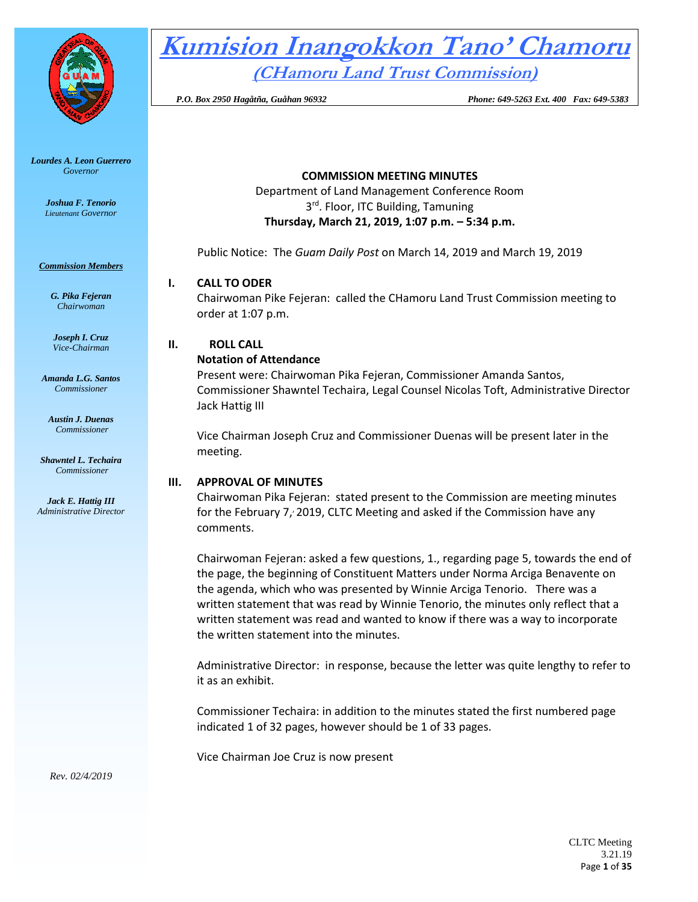

*Lourdes A. Leon Guerrero Governor* 

> *Joshua F. Tenorio Lieutenant Governor*

#### *Commission Members*

*G. Pika Fejeran Chairwoman*

*Joseph I. Cruz Vice-Chairman*

*Amanda L.G. Santos Commissioner*

*Austin J. Duenas Commissioner*

*Shawntel L. Techaira Commissioner*

*Jack E. Hattig III Administrative Director* **Kumision Inangokkon Tano' Chamoru (CHamoru Land Trust Commission)**

 *P.O. Box 2950 Hagåtña, Guåhan 96932 Phone: 649-5263 Ext. 400 Fax: 649-5383*

**COMMISSION MEETING MINUTES** Department of Land Management Conference Room 3<sup>rd</sup>. Floor, ITC Building, Tamuning **Thursday, March 21, 2019, 1:07 p.m. – 5:34 p.m.**

Public Notice: The *Guam Daily Post* on March 14, 2019 and March 19, 2019

#### **I. CALL TO ODER**

Chairwoman Pike Fejeran: called the CHamoru Land Trust Commission meeting to order at 1:07 p.m.

# **II. ROLL CALL**

#### **Notation of Attendance**

Present were: Chairwoman Pika Fejeran, Commissioner Amanda Santos, Commissioner Shawntel Techaira, Legal Counsel Nicolas Toft, Administrative Director Jack Hattig III

Vice Chairman Joseph Cruz and Commissioner Duenas will be present later in the meeting.

#### **III. APPROVAL OF MINUTES**

Chairwoman Pika Fejeran: stated present to the Commission are meeting minutes for the February 7, 2019, CLTC Meeting and asked if the Commission have any comments.

Chairwoman Fejeran: asked a few questions, 1., regarding page 5, towards the end of the page, the beginning of Constituent Matters under Norma Arciga Benavente on the agenda, which who was presented by Winnie Arciga Tenorio. There was a written statement that was read by Winnie Tenorio, the minutes only reflect that a written statement was read and wanted to know if there was a way to incorporate the written statement into the minutes.

Administrative Director: in response, because the letter was quite lengthy to refer to it as an exhibit.

Commissioner Techaira: in addition to the minutes stated the first numbered page indicated 1 of 32 pages, however should be 1 of 33 pages.

Vice Chairman Joe Cruz is now present

*Rev. 02/4/2019*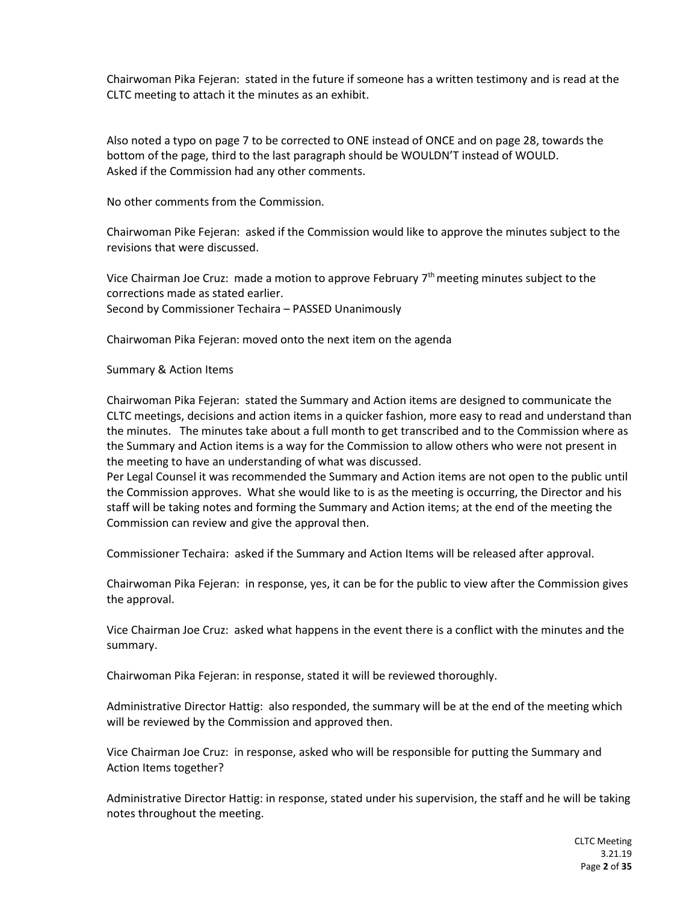Chairwoman Pika Fejeran: stated in the future if someone has a written testimony and is read at the CLTC meeting to attach it the minutes as an exhibit.

Also noted a typo on page 7 to be corrected to ONE instead of ONCE and on page 28, towards the bottom of the page, third to the last paragraph should be WOULDN'T instead of WOULD. Asked if the Commission had any other comments.

No other comments from the Commission.

Chairwoman Pike Fejeran: asked if the Commission would like to approve the minutes subject to the revisions that were discussed.

Vice Chairman Joe Cruz: made a motion to approve February  $7<sup>th</sup>$  meeting minutes subject to the corrections made as stated earlier. Second by Commissioner Techaira – PASSED Unanimously

Chairwoman Pika Fejeran: moved onto the next item on the agenda

Summary & Action Items

Chairwoman Pika Fejeran: stated the Summary and Action items are designed to communicate the CLTC meetings, decisions and action items in a quicker fashion, more easy to read and understand than the minutes. The minutes take about a full month to get transcribed and to the Commission where as the Summary and Action items is a way for the Commission to allow others who were not present in the meeting to have an understanding of what was discussed.

Per Legal Counsel it was recommended the Summary and Action items are not open to the public until the Commission approves. What she would like to is as the meeting is occurring, the Director and his staff will be taking notes and forming the Summary and Action items; at the end of the meeting the Commission can review and give the approval then.

Commissioner Techaira: asked if the Summary and Action Items will be released after approval.

Chairwoman Pika Fejeran: in response, yes, it can be for the public to view after the Commission gives the approval.

Vice Chairman Joe Cruz: asked what happens in the event there is a conflict with the minutes and the summary.

Chairwoman Pika Fejeran: in response, stated it will be reviewed thoroughly.

Administrative Director Hattig: also responded, the summary will be at the end of the meeting which will be reviewed by the Commission and approved then.

Vice Chairman Joe Cruz: in response, asked who will be responsible for putting the Summary and Action Items together?

Administrative Director Hattig: in response, stated under his supervision, the staff and he will be taking notes throughout the meeting.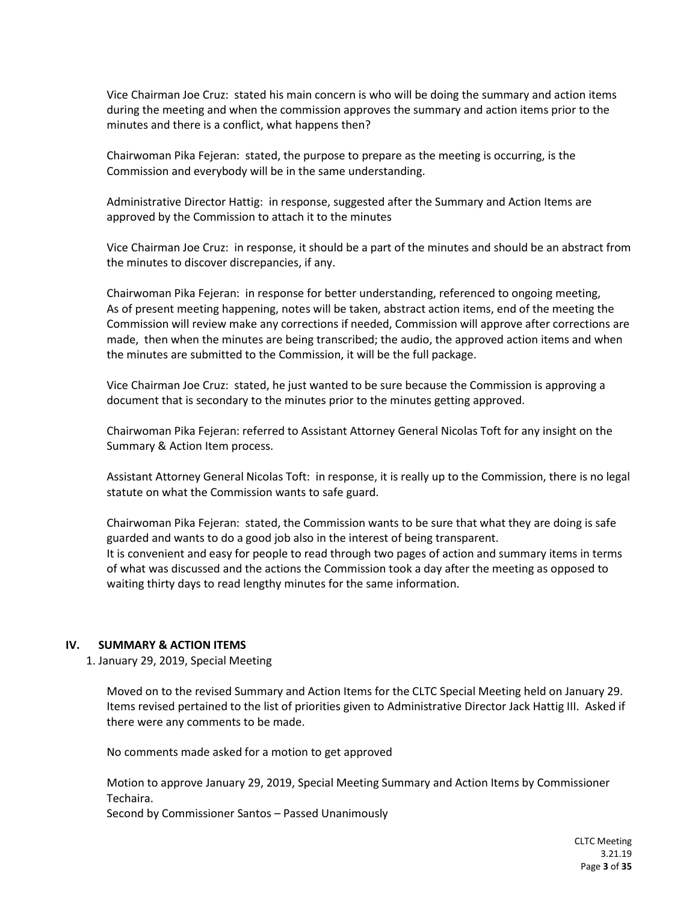Vice Chairman Joe Cruz: stated his main concern is who will be doing the summary and action items during the meeting and when the commission approves the summary and action items prior to the minutes and there is a conflict, what happens then?

Chairwoman Pika Fejeran: stated, the purpose to prepare as the meeting is occurring, is the Commission and everybody will be in the same understanding.

Administrative Director Hattig: in response, suggested after the Summary and Action Items are approved by the Commission to attach it to the minutes

Vice Chairman Joe Cruz: in response, it should be a part of the minutes and should be an abstract from the minutes to discover discrepancies, if any.

Chairwoman Pika Fejeran: in response for better understanding, referenced to ongoing meeting, As of present meeting happening, notes will be taken, abstract action items, end of the meeting the Commission will review make any corrections if needed, Commission will approve after corrections are made, then when the minutes are being transcribed; the audio, the approved action items and when the minutes are submitted to the Commission, it will be the full package.

Vice Chairman Joe Cruz: stated, he just wanted to be sure because the Commission is approving a document that is secondary to the minutes prior to the minutes getting approved.

Chairwoman Pika Fejeran: referred to Assistant Attorney General Nicolas Toft for any insight on the Summary & Action Item process.

Assistant Attorney General Nicolas Toft: in response, it is really up to the Commission, there is no legal statute on what the Commission wants to safe guard.

Chairwoman Pika Fejeran: stated, the Commission wants to be sure that what they are doing is safe guarded and wants to do a good job also in the interest of being transparent. It is convenient and easy for people to read through two pages of action and summary items in terms of what was discussed and the actions the Commission took a day after the meeting as opposed to waiting thirty days to read lengthy minutes for the same information.

#### **IV. SUMMARY & ACTION ITEMS**

1. January 29, 2019, Special Meeting

Moved on to the revised Summary and Action Items for the CLTC Special Meeting held on January 29. Items revised pertained to the list of priorities given to Administrative Director Jack Hattig III. Asked if there were any comments to be made.

No comments made asked for a motion to get approved

Motion to approve January 29, 2019, Special Meeting Summary and Action Items by Commissioner Techaira.

Second by Commissioner Santos – Passed Unanimously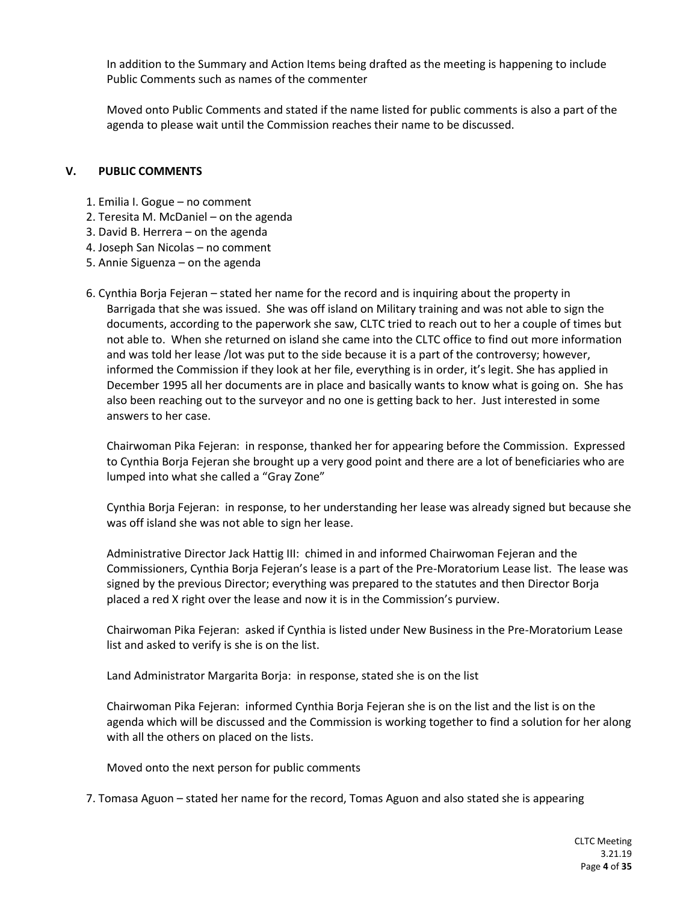In addition to the Summary and Action Items being drafted as the meeting is happening to include Public Comments such as names of the commenter

Moved onto Public Comments and stated if the name listed for public comments is also a part of the agenda to please wait until the Commission reaches their name to be discussed.

#### **V. PUBLIC COMMENTS**

- 1. Emilia I. Gogue no comment
- 2. Teresita M. McDaniel on the agenda
- 3. David B. Herrera on the agenda
- 4. Joseph San Nicolas no comment
- 5. Annie Siguenza on the agenda
- 6. Cynthia Borja Fejeran stated her name for the record and is inquiring about the property in Barrigada that she was issued. She was off island on Military training and was not able to sign the documents, according to the paperwork she saw, CLTC tried to reach out to her a couple of times but not able to. When she returned on island she came into the CLTC office to find out more information and was told her lease /lot was put to the side because it is a part of the controversy; however, informed the Commission if they look at her file, everything is in order, it's legit. She has applied in December 1995 all her documents are in place and basically wants to know what is going on. She has also been reaching out to the surveyor and no one is getting back to her. Just interested in some answers to her case.

Chairwoman Pika Fejeran: in response, thanked her for appearing before the Commission. Expressed to Cynthia Borja Fejeran she brought up a very good point and there are a lot of beneficiaries who are lumped into what she called a "Gray Zone"

Cynthia Borja Fejeran: in response, to her understanding her lease was already signed but because she was off island she was not able to sign her lease.

Administrative Director Jack Hattig III: chimed in and informed Chairwoman Fejeran and the Commissioners, Cynthia Borja Fejeran's lease is a part of the Pre-Moratorium Lease list. The lease was signed by the previous Director; everything was prepared to the statutes and then Director Borja placed a red X right over the lease and now it is in the Commission's purview.

Chairwoman Pika Fejeran: asked if Cynthia is listed under New Business in the Pre-Moratorium Lease list and asked to verify is she is on the list.

Land Administrator Margarita Borja: in response, stated she is on the list

Chairwoman Pika Fejeran: informed Cynthia Borja Fejeran she is on the list and the list is on the agenda which will be discussed and the Commission is working together to find a solution for her along with all the others on placed on the lists.

Moved onto the next person for public comments

7. Tomasa Aguon – stated her name for the record, Tomas Aguon and also stated she is appearing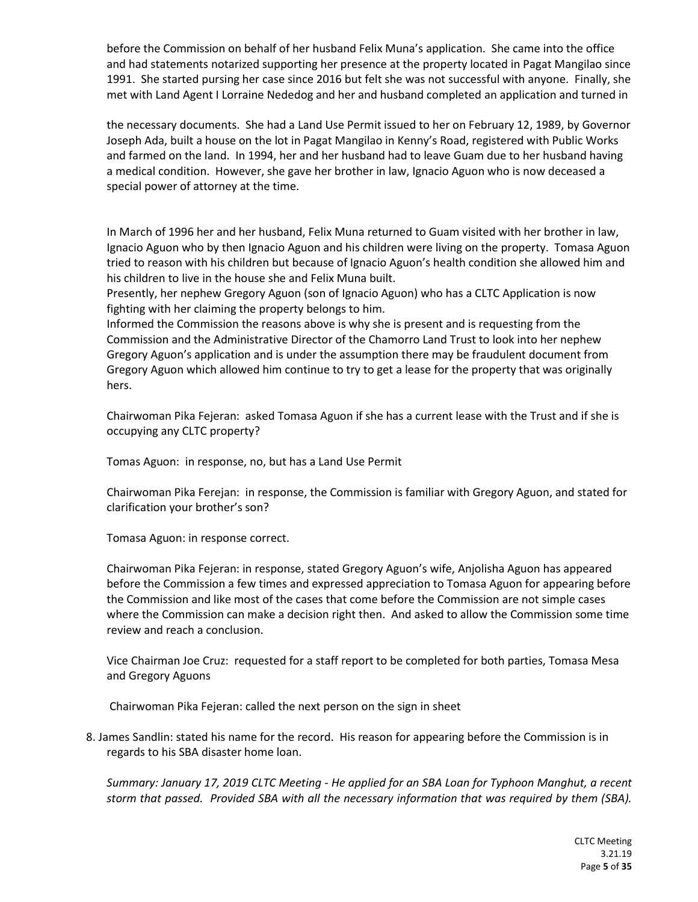before the Commission on behalf of her husband Felix Muna's application. She came into the office and had statements notarized supporting her presence at the property located in Pagat Mangilao since 1991. She started pursing her case since 2016 but felt she was not successful with anyone. Finally, she met with Land Agent I Lorraine Nededog and her and husband completed an application and turned in

the necessary documents. She had a Land Use Permit issued to her on February 12, 1989, by Governor Joseph Ada, built a house on the lot in Pagat Mangilao in Kenny's Road, registered with Public Works and farmed on the land. In 1994, her and her husband had to leave Guam due to her husband having a medical condition. However, she gave her brother in law, Ignacio Aguon who is now deceased a special power of attorney at the time.

In March of 1996 her and her husband, Felix Muna returned to Guam visited with her brother in law, Ignacio Aguon who by then Ignacio Aguon and his children were living on the property. Tomasa Aguon tried to reason with his children but because of Ignacio Aguon's health condition she allowed him and his children to live in the house she and Felix Muna built.

Presently, her nephew Gregory Aguon (son of Ignacio Aguon) who has a CLTC Application is now fighting with her claiming the property belongs to him.

Informed the Commission the reasons above is why she is present and is requesting from the Commission and the Administrative Director of the Chamorro Land Trust to look into her nephew Gregory Aguon's application and is under the assumption there may be fraudulent document from Gregory Aguon which allowed him continue to try to get a lease for the property that was originally hers.

Chairwoman Pika Fejeran: asked Tomasa Aguon if she has a current lease with the Trust and if she is occupying any CLTC property?

Tomas Aguon: in response, no, but has a Land Use Permit

Chairwoman Pika Ferejan: in response, the Commission is familiar with Gregory Aguon, and stated for clarification your brother's son?

Tomasa Aguon: in response correct.

Chairwoman Pika Fejeran: in response, stated Gregory Aguon's wife, Anjolisha Aguon has appeared before the Commission a few times and expressed appreciation to Tomasa Aguon for appearing before the Commission and like most of the cases that come before the Commission are not simple cases where the Commission can make a decision right then. And asked to allow the Commission some time review and reach a conclusion.

Vice Chairman Joe Cruz: requested for a staff report to be completed for both parties, Tomasa Mesa and Gregory Aguons

Chairwoman Pika Fejeran: called the next person on the sign in sheet

8. James Sandlin: stated his name for the record. His reason for appearing before the Commission is in regards to his SBA disaster home loan.

*Summary: January 17, 2019 CLTC Meeting - He applied for an SBA Loan for Typhoon Manghut, a recent storm that passed. Provided SBA with all the necessary information that was required by them (SBA).*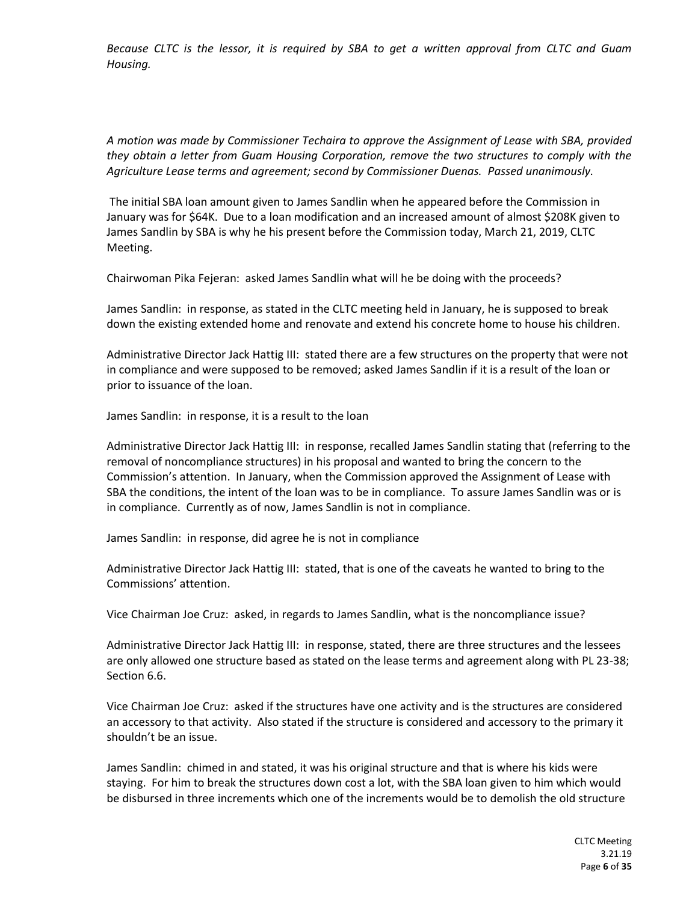*Because CLTC is the lessor, it is required by SBA to get a written approval from CLTC and Guam Housing.*

*A motion was made by Commissioner Techaira to approve the Assignment of Lease with SBA, provided they obtain a letter from Guam Housing Corporation, remove the two structures to comply with the Agriculture Lease terms and agreement; second by Commissioner Duenas. Passed unanimously.* 

The initial SBA loan amount given to James Sandlin when he appeared before the Commission in January was for \$64K. Due to a loan modification and an increased amount of almost \$208K given to James Sandlin by SBA is why he his present before the Commission today, March 21, 2019, CLTC Meeting.

Chairwoman Pika Fejeran: asked James Sandlin what will he be doing with the proceeds?

James Sandlin: in response, as stated in the CLTC meeting held in January, he is supposed to break down the existing extended home and renovate and extend his concrete home to house his children.

Administrative Director Jack Hattig III: stated there are a few structures on the property that were not in compliance and were supposed to be removed; asked James Sandlin if it is a result of the loan or prior to issuance of the loan.

James Sandlin: in response, it is a result to the loan

Administrative Director Jack Hattig III: in response, recalled James Sandlin stating that (referring to the removal of noncompliance structures) in his proposal and wanted to bring the concern to the Commission's attention. In January, when the Commission approved the Assignment of Lease with SBA the conditions, the intent of the loan was to be in compliance. To assure James Sandlin was or is in compliance. Currently as of now, James Sandlin is not in compliance.

James Sandlin: in response, did agree he is not in compliance

Administrative Director Jack Hattig III: stated, that is one of the caveats he wanted to bring to the Commissions' attention.

Vice Chairman Joe Cruz: asked, in regards to James Sandlin, what is the noncompliance issue?

Administrative Director Jack Hattig III: in response, stated, there are three structures and the lessees are only allowed one structure based as stated on the lease terms and agreement along with PL 23-38; Section 6.6.

Vice Chairman Joe Cruz: asked if the structures have one activity and is the structures are considered an accessory to that activity. Also stated if the structure is considered and accessory to the primary it shouldn't be an issue.

James Sandlin: chimed in and stated, it was his original structure and that is where his kids were staying. For him to break the structures down cost a lot, with the SBA loan given to him which would be disbursed in three increments which one of the increments would be to demolish the old structure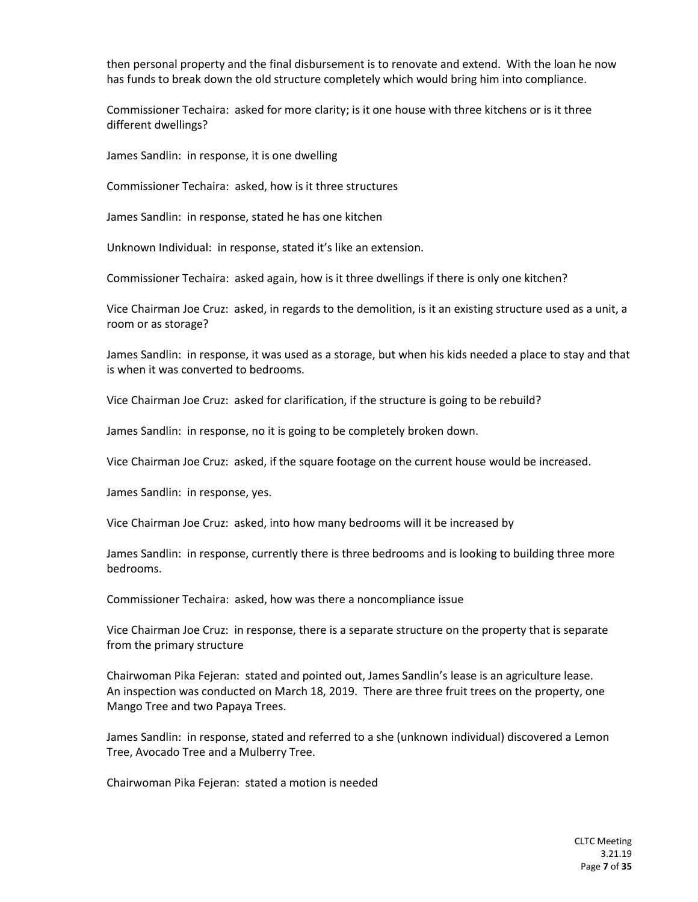then personal property and the final disbursement is to renovate and extend. With the loan he now has funds to break down the old structure completely which would bring him into compliance.

Commissioner Techaira: asked for more clarity; is it one house with three kitchens or is it three different dwellings?

James Sandlin: in response, it is one dwelling

Commissioner Techaira: asked, how is it three structures

James Sandlin: in response, stated he has one kitchen

Unknown Individual: in response, stated it's like an extension.

Commissioner Techaira: asked again, how is it three dwellings if there is only one kitchen?

Vice Chairman Joe Cruz: asked, in regards to the demolition, is it an existing structure used as a unit, a room or as storage?

James Sandlin: in response, it was used as a storage, but when his kids needed a place to stay and that is when it was converted to bedrooms.

Vice Chairman Joe Cruz: asked for clarification, if the structure is going to be rebuild?

James Sandlin: in response, no it is going to be completely broken down.

Vice Chairman Joe Cruz: asked, if the square footage on the current house would be increased.

James Sandlin: in response, yes.

Vice Chairman Joe Cruz: asked, into how many bedrooms will it be increased by

James Sandlin: in response, currently there is three bedrooms and is looking to building three more bedrooms.

Commissioner Techaira: asked, how was there a noncompliance issue

Vice Chairman Joe Cruz: in response, there is a separate structure on the property that is separate from the primary structure

Chairwoman Pika Fejeran: stated and pointed out, James Sandlin's lease is an agriculture lease. An inspection was conducted on March 18, 2019. There are three fruit trees on the property, one Mango Tree and two Papaya Trees.

James Sandlin: in response, stated and referred to a she (unknown individual) discovered a Lemon Tree, Avocado Tree and a Mulberry Tree.

Chairwoman Pika Fejeran: stated a motion is needed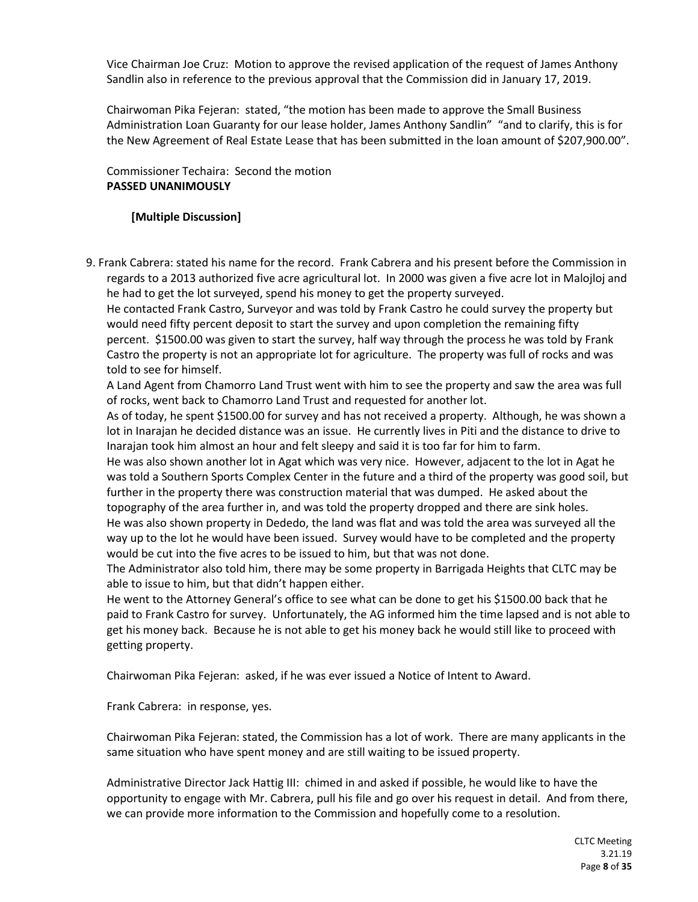Vice Chairman Joe Cruz: Motion to approve the revised application of the request of James Anthony Sandlin also in reference to the previous approval that the Commission did in January 17, 2019.

Chairwoman Pika Fejeran: stated, "the motion has been made to approve the Small Business Administration Loan Guaranty for our lease holder, James Anthony Sandlin" "and to clarify, this is for the New Agreement of Real Estate Lease that has been submitted in the loan amount of \$207,900.00".

Commissioner Techaira: Second the motion **PASSED UNANIMOUSLY** 

## **[Multiple Discussion]**

9. Frank Cabrera: stated his name for the record. Frank Cabrera and his present before the Commission in regards to a 2013 authorized five acre agricultural lot. In 2000 was given a five acre lot in Malojloj and he had to get the lot surveyed, spend his money to get the property surveyed.

He contacted Frank Castro, Surveyor and was told by Frank Castro he could survey the property but would need fifty percent deposit to start the survey and upon completion the remaining fifty percent. \$1500.00 was given to start the survey, half way through the process he was told by Frank Castro the property is not an appropriate lot for agriculture. The property was full of rocks and was told to see for himself.

A Land Agent from Chamorro Land Trust went with him to see the property and saw the area was full of rocks, went back to Chamorro Land Trust and requested for another lot.

As of today, he spent \$1500.00 for survey and has not received a property. Although, he was shown a lot in Inarajan he decided distance was an issue. He currently lives in Piti and the distance to drive to Inarajan took him almost an hour and felt sleepy and said it is too far for him to farm.

He was also shown another lot in Agat which was very nice. However, adjacent to the lot in Agat he was told a Southern Sports Complex Center in the future and a third of the property was good soil, but further in the property there was construction material that was dumped. He asked about the topography of the area further in, and was told the property dropped and there are sink holes. He was also shown property in Dededo, the land was flat and was told the area was surveyed all the way up to the lot he would have been issued. Survey would have to be completed and the property would be cut into the five acres to be issued to him, but that was not done.

The Administrator also told him, there may be some property in Barrigada Heights that CLTC may be able to issue to him, but that didn't happen either.

He went to the Attorney General's office to see what can be done to get his \$1500.00 back that he paid to Frank Castro for survey. Unfortunately, the AG informed him the time lapsed and is not able to get his money back. Because he is not able to get his money back he would still like to proceed with getting property.

Chairwoman Pika Fejeran: asked, if he was ever issued a Notice of Intent to Award.

Frank Cabrera: in response, yes.

Chairwoman Pika Fejeran: stated, the Commission has a lot of work. There are many applicants in the same situation who have spent money and are still waiting to be issued property.

Administrative Director Jack Hattig III: chimed in and asked if possible, he would like to have the opportunity to engage with Mr. Cabrera, pull his file and go over his request in detail. And from there, we can provide more information to the Commission and hopefully come to a resolution.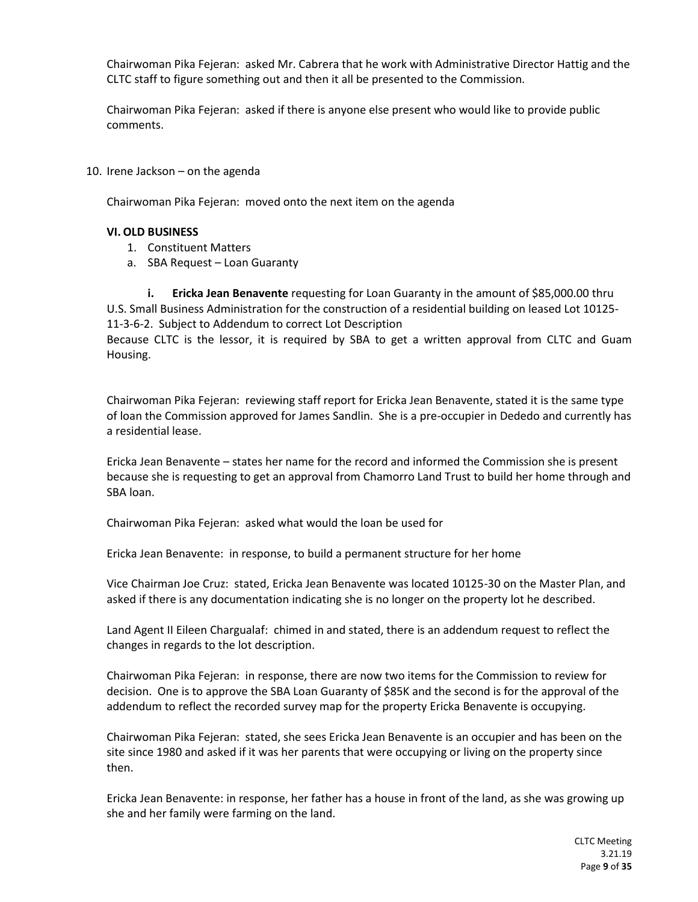Chairwoman Pika Fejeran: asked Mr. Cabrera that he work with Administrative Director Hattig and the CLTC staff to figure something out and then it all be presented to the Commission.

Chairwoman Pika Fejeran: asked if there is anyone else present who would like to provide public comments.

10. Irene Jackson – on the agenda

Chairwoman Pika Fejeran: moved onto the next item on the agenda

## **VI. OLD BUSINESS**

- 1. Constituent Matters
- a. SBA Request Loan Guaranty

**i. Ericka Jean Benavente** requesting for Loan Guaranty in the amount of \$85,000.00 thru U.S. Small Business Administration for the construction of a residential building on leased Lot 10125- 11-3-6-2. Subject to Addendum to correct Lot Description

Because CLTC is the lessor, it is required by SBA to get a written approval from CLTC and Guam Housing.

Chairwoman Pika Fejeran: reviewing staff report for Ericka Jean Benavente, stated it is the same type of loan the Commission approved for James Sandlin. She is a pre-occupier in Dededo and currently has a residential lease.

Ericka Jean Benavente – states her name for the record and informed the Commission she is present because she is requesting to get an approval from Chamorro Land Trust to build her home through and SBA loan.

Chairwoman Pika Fejeran: asked what would the loan be used for

Ericka Jean Benavente: in response, to build a permanent structure for her home

Vice Chairman Joe Cruz: stated, Ericka Jean Benavente was located 10125-30 on the Master Plan, and asked if there is any documentation indicating she is no longer on the property lot he described.

Land Agent II Eileen Chargualaf: chimed in and stated, there is an addendum request to reflect the changes in regards to the lot description.

Chairwoman Pika Fejeran: in response, there are now two items for the Commission to review for decision. One is to approve the SBA Loan Guaranty of \$85K and the second is for the approval of the addendum to reflect the recorded survey map for the property Ericka Benavente is occupying.

Chairwoman Pika Fejeran: stated, she sees Ericka Jean Benavente is an occupier and has been on the site since 1980 and asked if it was her parents that were occupying or living on the property since then.

Ericka Jean Benavente: in response, her father has a house in front of the land, as she was growing up she and her family were farming on the land.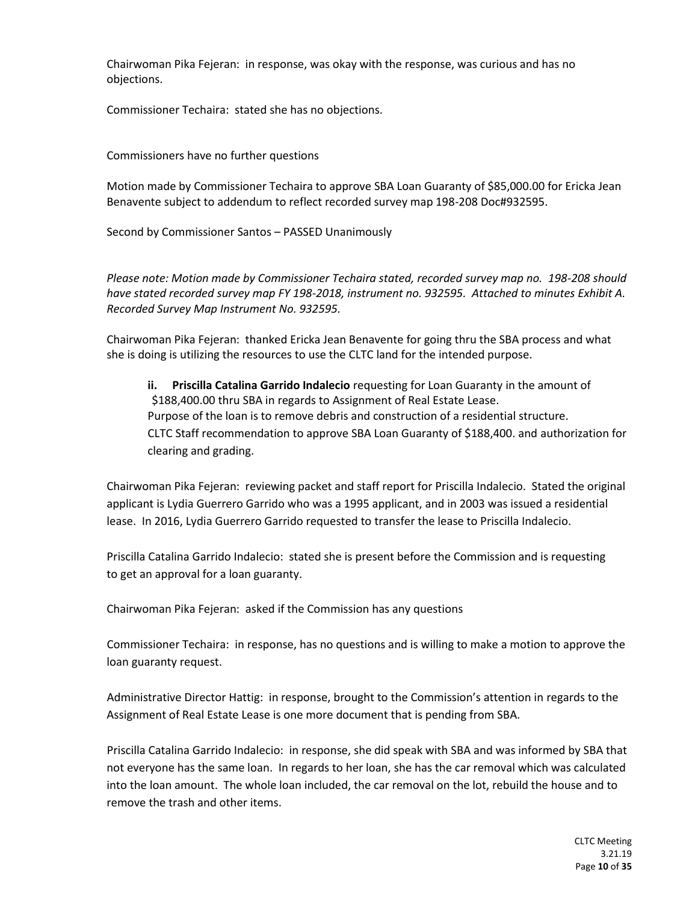Chairwoman Pika Fejeran: in response, was okay with the response, was curious and has no objections.

Commissioner Techaira: stated she has no objections.

Commissioners have no further questions

Motion made by Commissioner Techaira to approve SBA Loan Guaranty of \$85,000.00 for Ericka Jean Benavente subject to addendum to reflect recorded survey map 198-208 Doc#932595.

Second by Commissioner Santos – PASSED Unanimously

*Please note: Motion made by Commissioner Techaira stated, recorded survey map no. 198-208 should have stated recorded survey map FY 198-2018, instrument no. 932595. Attached to minutes Exhibit A. Recorded Survey Map Instrument No. 932595.*

Chairwoman Pika Fejeran: thanked Ericka Jean Benavente for going thru the SBA process and what she is doing is utilizing the resources to use the CLTC land for the intended purpose.

**ii. Priscilla Catalina Garrido Indalecio** requesting for Loan Guaranty in the amount of \$188,400.00 thru SBA in regards to Assignment of Real Estate Lease. Purpose of the loan is to remove debris and construction of a residential structure. CLTC Staff recommendation to approve SBA Loan Guaranty of \$188,400. and authorization for clearing and grading.

Chairwoman Pika Fejeran: reviewing packet and staff report for Priscilla Indalecio. Stated the original applicant is Lydia Guerrero Garrido who was a 1995 applicant, and in 2003 was issued a residential lease. In 2016, Lydia Guerrero Garrido requested to transfer the lease to Priscilla Indalecio.

Priscilla Catalina Garrido Indalecio: stated she is present before the Commission and is requesting to get an approval for a loan guaranty.

Chairwoman Pika Fejeran: asked if the Commission has any questions

Commissioner Techaira: in response, has no questions and is willing to make a motion to approve the loan guaranty request.

Administrative Director Hattig: in response, brought to the Commission's attention in regards to the Assignment of Real Estate Lease is one more document that is pending from SBA.

Priscilla Catalina Garrido Indalecio: in response, she did speak with SBA and was informed by SBA that not everyone has the same loan. In regards to her loan, she has the car removal which was calculated into the loan amount. The whole loan included, the car removal on the lot, rebuild the house and to remove the trash and other items.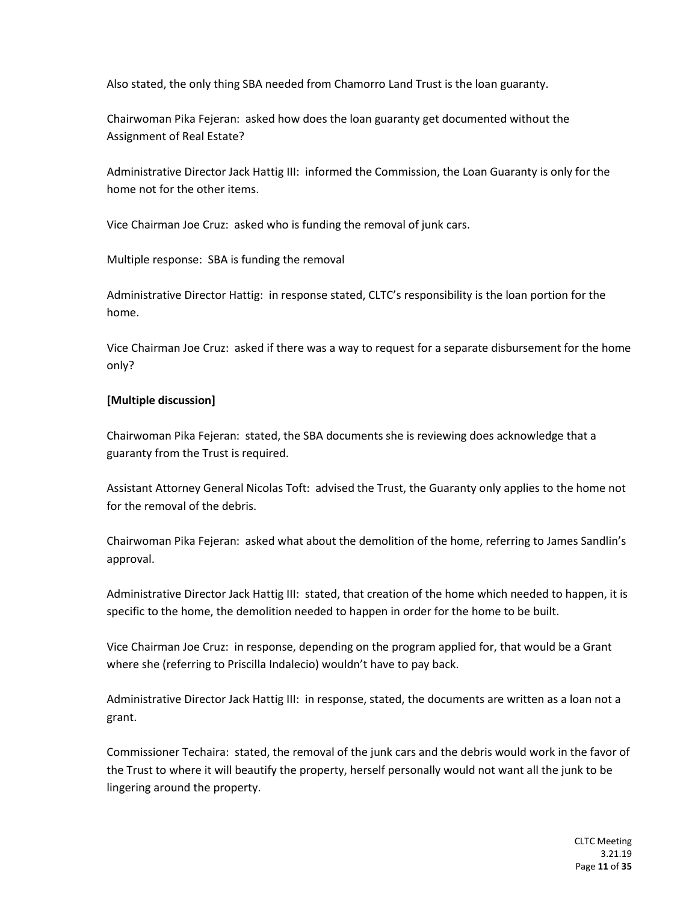Also stated, the only thing SBA needed from Chamorro Land Trust is the loan guaranty.

Chairwoman Pika Fejeran: asked how does the loan guaranty get documented without the Assignment of Real Estate?

Administrative Director Jack Hattig III: informed the Commission, the Loan Guaranty is only for the home not for the other items.

Vice Chairman Joe Cruz: asked who is funding the removal of junk cars.

Multiple response: SBA is funding the removal

Administrative Director Hattig: in response stated, CLTC's responsibility is the loan portion for the home.

Vice Chairman Joe Cruz: asked if there was a way to request for a separate disbursement for the home only?

## **[Multiple discussion]**

Chairwoman Pika Fejeran: stated, the SBA documents she is reviewing does acknowledge that a guaranty from the Trust is required.

Assistant Attorney General Nicolas Toft: advised the Trust, the Guaranty only applies to the home not for the removal of the debris.

Chairwoman Pika Fejeran: asked what about the demolition of the home, referring to James Sandlin's approval.

Administrative Director Jack Hattig III: stated, that creation of the home which needed to happen, it is specific to the home, the demolition needed to happen in order for the home to be built.

Vice Chairman Joe Cruz: in response, depending on the program applied for, that would be a Grant where she (referring to Priscilla Indalecio) wouldn't have to pay back.

Administrative Director Jack Hattig III: in response, stated, the documents are written as a loan not a grant.

Commissioner Techaira: stated, the removal of the junk cars and the debris would work in the favor of the Trust to where it will beautify the property, herself personally would not want all the junk to be lingering around the property.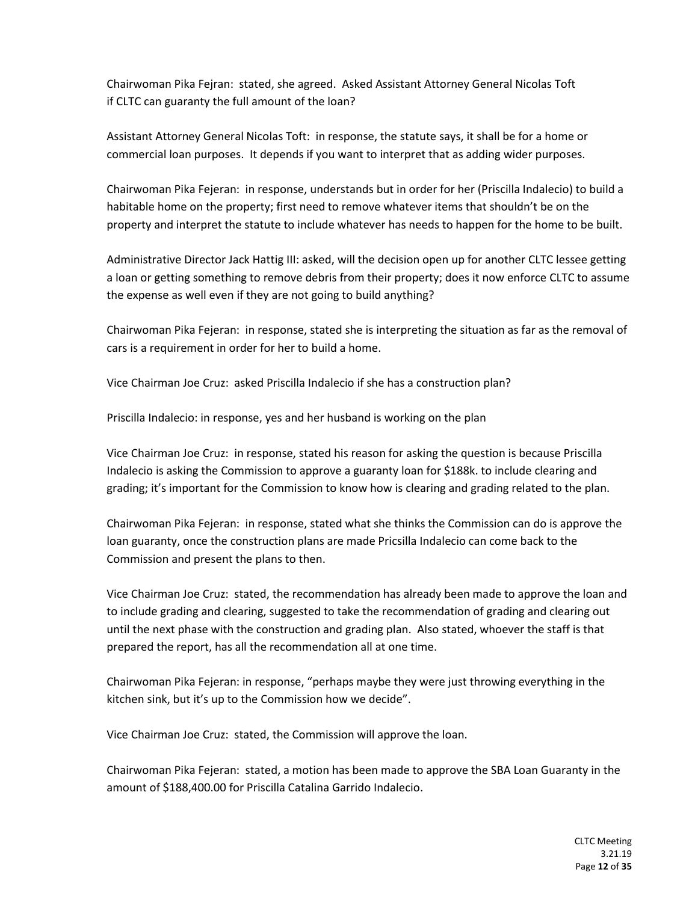Chairwoman Pika Fejran: stated, she agreed. Asked Assistant Attorney General Nicolas Toft if CLTC can guaranty the full amount of the loan?

Assistant Attorney General Nicolas Toft: in response, the statute says, it shall be for a home or commercial loan purposes. It depends if you want to interpret that as adding wider purposes.

Chairwoman Pika Fejeran: in response, understands but in order for her (Priscilla Indalecio) to build a habitable home on the property; first need to remove whatever items that shouldn't be on the property and interpret the statute to include whatever has needs to happen for the home to be built.

Administrative Director Jack Hattig III: asked, will the decision open up for another CLTC lessee getting a loan or getting something to remove debris from their property; does it now enforce CLTC to assume the expense as well even if they are not going to build anything?

Chairwoman Pika Fejeran: in response, stated she is interpreting the situation as far as the removal of cars is a requirement in order for her to build a home.

Vice Chairman Joe Cruz: asked Priscilla Indalecio if she has a construction plan?

Priscilla Indalecio: in response, yes and her husband is working on the plan

Vice Chairman Joe Cruz: in response, stated his reason for asking the question is because Priscilla Indalecio is asking the Commission to approve a guaranty loan for \$188k. to include clearing and grading; it's important for the Commission to know how is clearing and grading related to the plan.

Chairwoman Pika Fejeran: in response, stated what she thinks the Commission can do is approve the loan guaranty, once the construction plans are made Pricsilla Indalecio can come back to the Commission and present the plans to then.

Vice Chairman Joe Cruz: stated, the recommendation has already been made to approve the loan and to include grading and clearing, suggested to take the recommendation of grading and clearing out until the next phase with the construction and grading plan. Also stated, whoever the staff is that prepared the report, has all the recommendation all at one time.

Chairwoman Pika Fejeran: in response, "perhaps maybe they were just throwing everything in the kitchen sink, but it's up to the Commission how we decide".

Vice Chairman Joe Cruz: stated, the Commission will approve the loan.

Chairwoman Pika Fejeran: stated, a motion has been made to approve the SBA Loan Guaranty in the amount of \$188,400.00 for Priscilla Catalina Garrido Indalecio.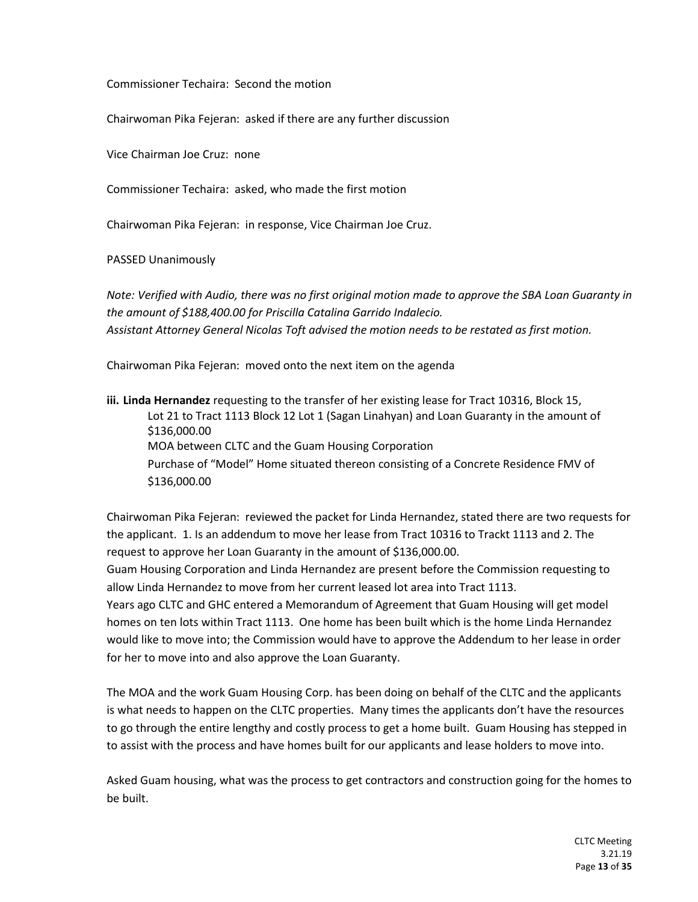Commissioner Techaira: Second the motion

Chairwoman Pika Fejeran: asked if there are any further discussion

Vice Chairman Joe Cruz: none

Commissioner Techaira: asked, who made the first motion

Chairwoman Pika Fejeran: in response, Vice Chairman Joe Cruz.

PASSED Unanimously

*Note: Verified with Audio, there was no first original motion made to approve the SBA Loan Guaranty in the amount of \$188,400.00 for Priscilla Catalina Garrido Indalecio. Assistant Attorney General Nicolas Toft advised the motion needs to be restated as first motion.* 

Chairwoman Pika Fejeran: moved onto the next item on the agenda

**iii. Linda Hernandez** requesting to the transfer of her existing lease for Tract 10316, Block 15, Lot 21 to Tract 1113 Block 12 Lot 1 (Sagan Linahyan) and Loan Guaranty in the amount of \$136,000.00 MOA between CLTC and the Guam Housing Corporation Purchase of "Model" Home situated thereon consisting of a Concrete Residence FMV of \$136,000.00

Chairwoman Pika Fejeran: reviewed the packet for Linda Hernandez, stated there are two requests for the applicant. 1. Is an addendum to move her lease from Tract 10316 to Trackt 1113 and 2. The request to approve her Loan Guaranty in the amount of \$136,000.00.

Guam Housing Corporation and Linda Hernandez are present before the Commission requesting to allow Linda Hernandez to move from her current leased lot area into Tract 1113.

Years ago CLTC and GHC entered a Memorandum of Agreement that Guam Housing will get model homes on ten lots within Tract 1113. One home has been built which is the home Linda Hernandez would like to move into; the Commission would have to approve the Addendum to her lease in order for her to move into and also approve the Loan Guaranty.

The MOA and the work Guam Housing Corp. has been doing on behalf of the CLTC and the applicants is what needs to happen on the CLTC properties. Many times the applicants don't have the resources to go through the entire lengthy and costly process to get a home built. Guam Housing has stepped in to assist with the process and have homes built for our applicants and lease holders to move into.

Asked Guam housing, what was the process to get contractors and construction going for the homes to be built.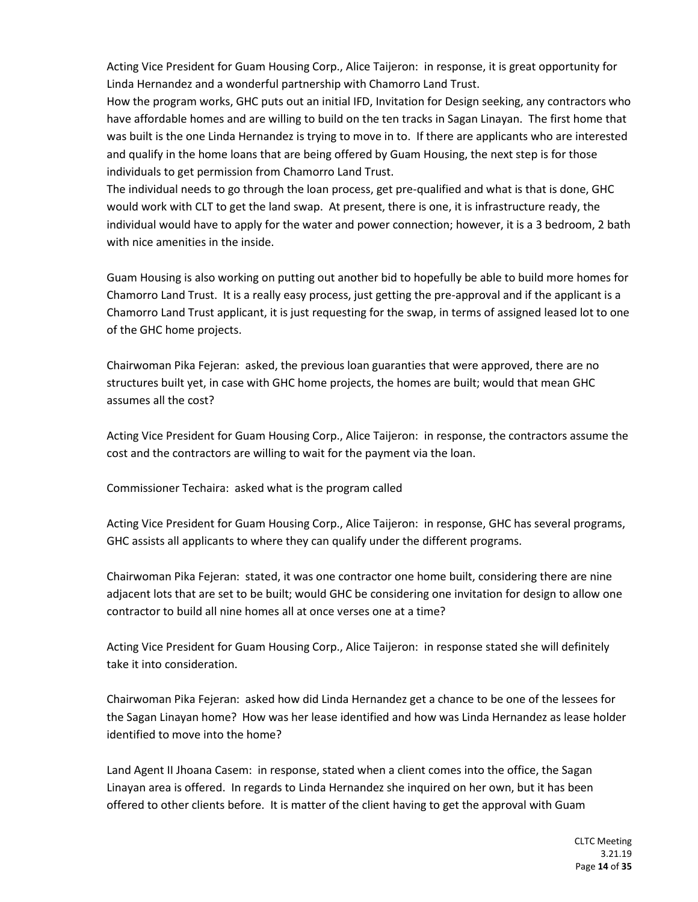Acting Vice President for Guam Housing Corp., Alice Taijeron: in response, it is great opportunity for Linda Hernandez and a wonderful partnership with Chamorro Land Trust.

How the program works, GHC puts out an initial IFD, Invitation for Design seeking, any contractors who have affordable homes and are willing to build on the ten tracks in Sagan Linayan. The first home that was built is the one Linda Hernandez is trying to move in to. If there are applicants who are interested and qualify in the home loans that are being offered by Guam Housing, the next step is for those individuals to get permission from Chamorro Land Trust.

The individual needs to go through the loan process, get pre-qualified and what is that is done, GHC would work with CLT to get the land swap. At present, there is one, it is infrastructure ready, the individual would have to apply for the water and power connection; however, it is a 3 bedroom, 2 bath with nice amenities in the inside.

Guam Housing is also working on putting out another bid to hopefully be able to build more homes for Chamorro Land Trust. It is a really easy process, just getting the pre-approval and if the applicant is a Chamorro Land Trust applicant, it is just requesting for the swap, in terms of assigned leased lot to one of the GHC home projects.

Chairwoman Pika Fejeran: asked, the previous loan guaranties that were approved, there are no structures built yet, in case with GHC home projects, the homes are built; would that mean GHC assumes all the cost?

Acting Vice President for Guam Housing Corp., Alice Taijeron: in response, the contractors assume the cost and the contractors are willing to wait for the payment via the loan.

Commissioner Techaira: asked what is the program called

Acting Vice President for Guam Housing Corp., Alice Taijeron: in response, GHC has several programs, GHC assists all applicants to where they can qualify under the different programs.

Chairwoman Pika Fejeran: stated, it was one contractor one home built, considering there are nine adjacent lots that are set to be built; would GHC be considering one invitation for design to allow one contractor to build all nine homes all at once verses one at a time?

Acting Vice President for Guam Housing Corp., Alice Taijeron: in response stated she will definitely take it into consideration.

Chairwoman Pika Fejeran: asked how did Linda Hernandez get a chance to be one of the lessees for the Sagan Linayan home? How was her lease identified and how was Linda Hernandez as lease holder identified to move into the home?

Land Agent II Jhoana Casem: in response, stated when a client comes into the office, the Sagan Linayan area is offered. In regards to Linda Hernandez she inquired on her own, but it has been offered to other clients before. It is matter of the client having to get the approval with Guam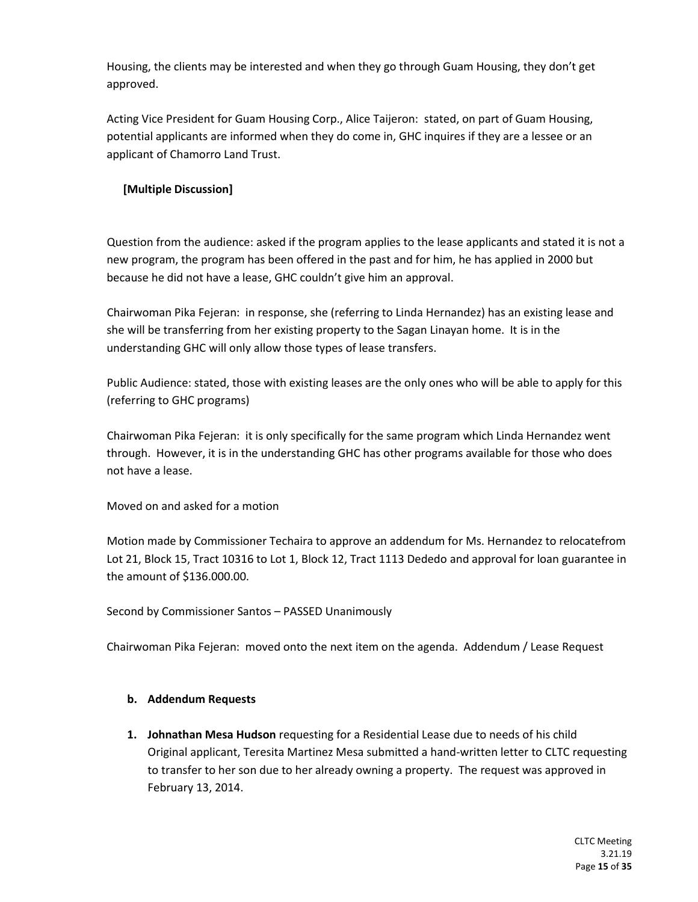Housing, the clients may be interested and when they go through Guam Housing, they don't get approved.

Acting Vice President for Guam Housing Corp., Alice Taijeron: stated, on part of Guam Housing, potential applicants are informed when they do come in, GHC inquires if they are a lessee or an applicant of Chamorro Land Trust.

# **[Multiple Discussion]**

Question from the audience: asked if the program applies to the lease applicants and stated it is not a new program, the program has been offered in the past and for him, he has applied in 2000 but because he did not have a lease, GHC couldn't give him an approval.

Chairwoman Pika Fejeran: in response, she (referring to Linda Hernandez) has an existing lease and she will be transferring from her existing property to the Sagan Linayan home. It is in the understanding GHC will only allow those types of lease transfers.

Public Audience: stated, those with existing leases are the only ones who will be able to apply for this (referring to GHC programs)

Chairwoman Pika Fejeran: it is only specifically for the same program which Linda Hernandez went through. However, it is in the understanding GHC has other programs available for those who does not have a lease.

## Moved on and asked for a motion

Motion made by Commissioner Techaira to approve an addendum for Ms. Hernandez to relocatefrom Lot 21, Block 15, Tract 10316 to Lot 1, Block 12, Tract 1113 Dededo and approval for loan guarantee in the amount of \$136.000.00.

#### Second by Commissioner Santos – PASSED Unanimously

Chairwoman Pika Fejeran: moved onto the next item on the agenda. Addendum / Lease Request

#### **b. Addendum Requests**

**1. Johnathan Mesa Hudson** requesting for a Residential Lease due to needs of his child Original applicant, Teresita Martinez Mesa submitted a hand-written letter to CLTC requesting to transfer to her son due to her already owning a property. The request was approved in February 13, 2014.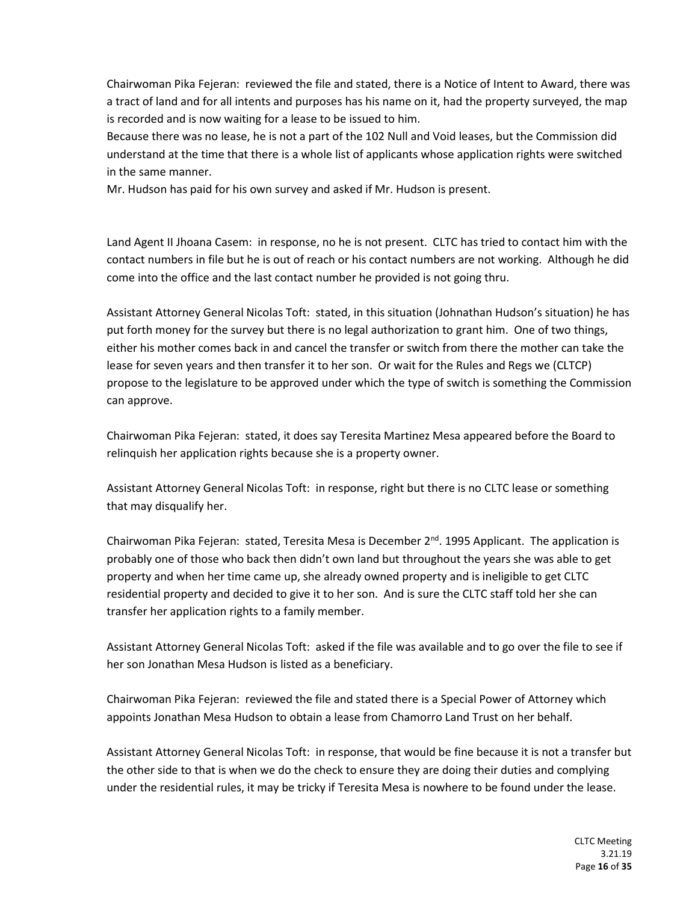Chairwoman Pika Fejeran: reviewed the file and stated, there is a Notice of Intent to Award, there was a tract of land and for all intents and purposes has his name on it, had the property surveyed, the map is recorded and is now waiting for a lease to be issued to him.

Because there was no lease, he is not a part of the 102 Null and Void leases, but the Commission did understand at the time that there is a whole list of applicants whose application rights were switched in the same manner.

Mr. Hudson has paid for his own survey and asked if Mr. Hudson is present.

Land Agent II Jhoana Casem: in response, no he is not present. CLTC has tried to contact him with the contact numbers in file but he is out of reach or his contact numbers are not working. Although he did come into the office and the last contact number he provided is not going thru.

Assistant Attorney General Nicolas Toft: stated, in this situation (Johnathan Hudson's situation) he has put forth money for the survey but there is no legal authorization to grant him. One of two things, either his mother comes back in and cancel the transfer or switch from there the mother can take the lease for seven years and then transfer it to her son. Or wait for the Rules and Regs we (CLTCP) propose to the legislature to be approved under which the type of switch is something the Commission can approve.

Chairwoman Pika Fejeran: stated, it does say Teresita Martinez Mesa appeared before the Board to relinquish her application rights because she is a property owner.

Assistant Attorney General Nicolas Toft: in response, right but there is no CLTC lease or something that may disqualify her.

Chairwoman Pika Fejeran: stated, Teresita Mesa is December  $2^{nd}$ . 1995 Applicant. The application is probably one of those who back then didn't own land but throughout the years she was able to get property and when her time came up, she already owned property and is ineligible to get CLTC residential property and decided to give it to her son. And is sure the CLTC staff told her she can transfer her application rights to a family member.

Assistant Attorney General Nicolas Toft: asked if the file was available and to go over the file to see if her son Jonathan Mesa Hudson is listed as a beneficiary.

Chairwoman Pika Fejeran: reviewed the file and stated there is a Special Power of Attorney which appoints Jonathan Mesa Hudson to obtain a lease from Chamorro Land Trust on her behalf.

Assistant Attorney General Nicolas Toft: in response, that would be fine because it is not a transfer but the other side to that is when we do the check to ensure they are doing their duties and complying under the residential rules, it may be tricky if Teresita Mesa is nowhere to be found under the lease.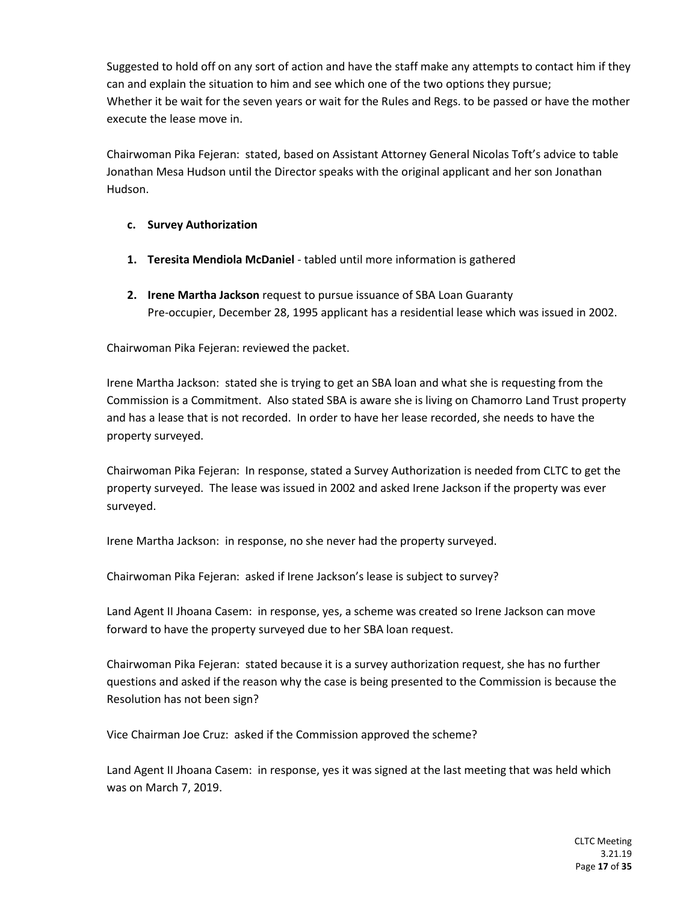Suggested to hold off on any sort of action and have the staff make any attempts to contact him if they can and explain the situation to him and see which one of the two options they pursue; Whether it be wait for the seven years or wait for the Rules and Regs. to be passed or have the mother execute the lease move in.

Chairwoman Pika Fejeran: stated, based on Assistant Attorney General Nicolas Toft's advice to table Jonathan Mesa Hudson until the Director speaks with the original applicant and her son Jonathan Hudson.

## **c. Survey Authorization**

- **1. Teresita Mendiola McDaniel** tabled until more information is gathered
- **2. Irene Martha Jackson** request to pursue issuance of SBA Loan Guaranty Pre-occupier, December 28, 1995 applicant has a residential lease which was issued in 2002.

Chairwoman Pika Fejeran: reviewed the packet.

Irene Martha Jackson: stated she is trying to get an SBA loan and what she is requesting from the Commission is a Commitment. Also stated SBA is aware she is living on Chamorro Land Trust property and has a lease that is not recorded. In order to have her lease recorded, she needs to have the property surveyed.

Chairwoman Pika Fejeran: In response, stated a Survey Authorization is needed from CLTC to get the property surveyed. The lease was issued in 2002 and asked Irene Jackson if the property was ever surveyed.

Irene Martha Jackson: in response, no she never had the property surveyed.

Chairwoman Pika Fejeran: asked if Irene Jackson's lease is subject to survey?

Land Agent II Jhoana Casem: in response, yes, a scheme was created so Irene Jackson can move forward to have the property surveyed due to her SBA loan request.

Chairwoman Pika Fejeran: stated because it is a survey authorization request, she has no further questions and asked if the reason why the case is being presented to the Commission is because the Resolution has not been sign?

Vice Chairman Joe Cruz: asked if the Commission approved the scheme?

Land Agent II Jhoana Casem: in response, yes it was signed at the last meeting that was held which was on March 7, 2019.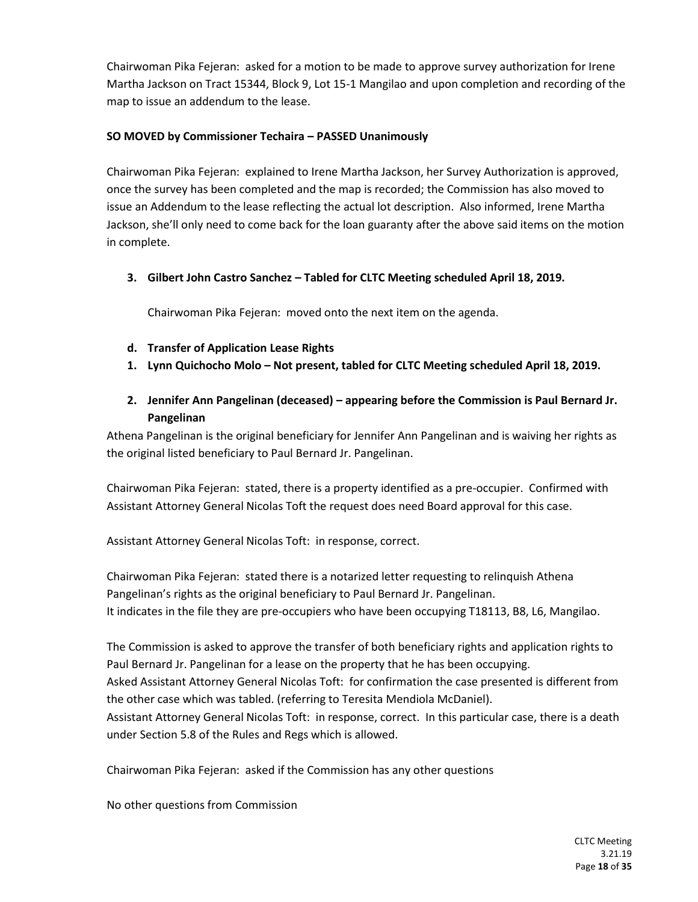Chairwoman Pika Fejeran: asked for a motion to be made to approve survey authorization for Irene Martha Jackson on Tract 15344, Block 9, Lot 15-1 Mangilao and upon completion and recording of the map to issue an addendum to the lease.

## **SO MOVED by Commissioner Techaira – PASSED Unanimously**

Chairwoman Pika Fejeran: explained to Irene Martha Jackson, her Survey Authorization is approved, once the survey has been completed and the map is recorded; the Commission has also moved to issue an Addendum to the lease reflecting the actual lot description. Also informed, Irene Martha Jackson, she'll only need to come back for the loan guaranty after the above said items on the motion in complete.

**3. Gilbert John Castro Sanchez – Tabled for CLTC Meeting scheduled April 18, 2019.**

Chairwoman Pika Fejeran: moved onto the next item on the agenda.

- **d. Transfer of Application Lease Rights**
- **1. Lynn Quichocho Molo – Not present, tabled for CLTC Meeting scheduled April 18, 2019.**
- **2. Jennifer Ann Pangelinan (deceased) – appearing before the Commission is Paul Bernard Jr. Pangelinan**

Athena Pangelinan is the original beneficiary for Jennifer Ann Pangelinan and is waiving her rights as the original listed beneficiary to Paul Bernard Jr. Pangelinan.

Chairwoman Pika Fejeran: stated, there is a property identified as a pre-occupier. Confirmed with Assistant Attorney General Nicolas Toft the request does need Board approval for this case.

Assistant Attorney General Nicolas Toft: in response, correct.

Chairwoman Pika Fejeran: stated there is a notarized letter requesting to relinquish Athena Pangelinan's rights as the original beneficiary to Paul Bernard Jr. Pangelinan. It indicates in the file they are pre-occupiers who have been occupying T18113, B8, L6, Mangilao.

The Commission is asked to approve the transfer of both beneficiary rights and application rights to Paul Bernard Jr. Pangelinan for a lease on the property that he has been occupying. Asked Assistant Attorney General Nicolas Toft: for confirmation the case presented is different from the other case which was tabled. (referring to Teresita Mendiola McDaniel). Assistant Attorney General Nicolas Toft: in response, correct. In this particular case, there is a death under Section 5.8 of the Rules and Regs which is allowed.

Chairwoman Pika Fejeran: asked if the Commission has any other questions

No other questions from Commission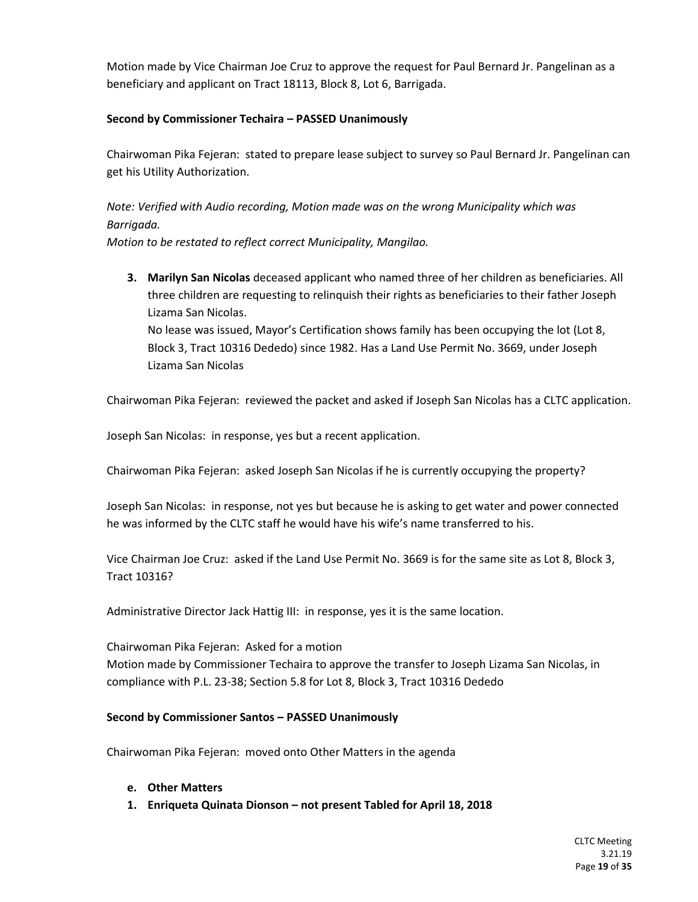Motion made by Vice Chairman Joe Cruz to approve the request for Paul Bernard Jr. Pangelinan as a beneficiary and applicant on Tract 18113, Block 8, Lot 6, Barrigada.

## **Second by Commissioner Techaira – PASSED Unanimously**

Chairwoman Pika Fejeran: stated to prepare lease subject to survey so Paul Bernard Jr. Pangelinan can get his Utility Authorization.

*Note: Verified with Audio recording, Motion made was on the wrong Municipality which was Barrigada. Motion to be restated to reflect correct Municipality, Mangilao.* 

**3. Marilyn San Nicolas** deceased applicant who named three of her children as beneficiaries. All three children are requesting to relinquish their rights as beneficiaries to their father Joseph Lizama San Nicolas. No lease was issued, Mayor's Certification shows family has been occupying the lot (Lot 8, Block 3, Tract 10316 Dededo) since 1982. Has a Land Use Permit No. 3669, under Joseph Lizama San Nicolas

Chairwoman Pika Fejeran: reviewed the packet and asked if Joseph San Nicolas has a CLTC application.

Joseph San Nicolas: in response, yes but a recent application.

Chairwoman Pika Fejeran: asked Joseph San Nicolas if he is currently occupying the property?

Joseph San Nicolas: in response, not yes but because he is asking to get water and power connected he was informed by the CLTC staff he would have his wife's name transferred to his.

Vice Chairman Joe Cruz: asked if the Land Use Permit No. 3669 is for the same site as Lot 8, Block 3, Tract 10316?

Administrative Director Jack Hattig III: in response, yes it is the same location.

Chairwoman Pika Fejeran: Asked for a motion

Motion made by Commissioner Techaira to approve the transfer to Joseph Lizama San Nicolas, in compliance with P.L. 23-38; Section 5.8 for Lot 8, Block 3, Tract 10316 Dededo

#### **Second by Commissioner Santos – PASSED Unanimously**

Chairwoman Pika Fejeran: moved onto Other Matters in the agenda

- **e. Other Matters**
- **1. Enriqueta Quinata Dionson – not present Tabled for April 18, 2018**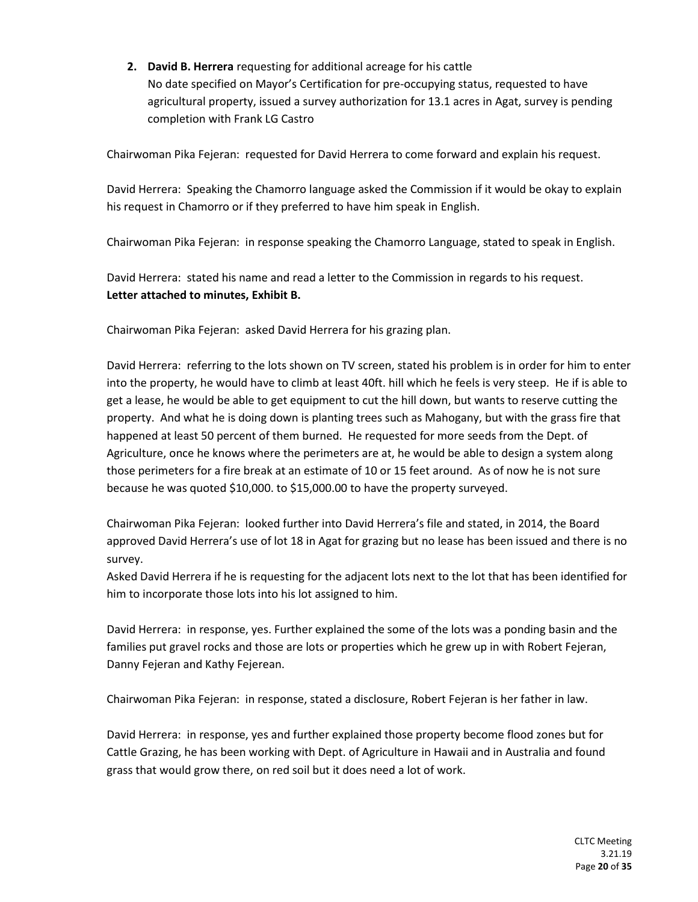**2. David B. Herrera** requesting for additional acreage for his cattle No date specified on Mayor's Certification for pre-occupying status, requested to have agricultural property, issued a survey authorization for 13.1 acres in Agat, survey is pending completion with Frank LG Castro

Chairwoman Pika Fejeran: requested for David Herrera to come forward and explain his request.

David Herrera: Speaking the Chamorro language asked the Commission if it would be okay to explain his request in Chamorro or if they preferred to have him speak in English.

Chairwoman Pika Fejeran: in response speaking the Chamorro Language, stated to speak in English.

David Herrera: stated his name and read a letter to the Commission in regards to his request. **Letter attached to minutes, Exhibit B.**

Chairwoman Pika Fejeran: asked David Herrera for his grazing plan.

David Herrera: referring to the lots shown on TV screen, stated his problem is in order for him to enter into the property, he would have to climb at least 40ft. hill which he feels is very steep. He if is able to get a lease, he would be able to get equipment to cut the hill down, but wants to reserve cutting the property. And what he is doing down is planting trees such as Mahogany, but with the grass fire that happened at least 50 percent of them burned. He requested for more seeds from the Dept. of Agriculture, once he knows where the perimeters are at, he would be able to design a system along those perimeters for a fire break at an estimate of 10 or 15 feet around. As of now he is not sure because he was quoted \$10,000. to \$15,000.00 to have the property surveyed.

Chairwoman Pika Fejeran: looked further into David Herrera's file and stated, in 2014, the Board approved David Herrera's use of lot 18 in Agat for grazing but no lease has been issued and there is no survey.

Asked David Herrera if he is requesting for the adjacent lots next to the lot that has been identified for him to incorporate those lots into his lot assigned to him.

David Herrera: in response, yes. Further explained the some of the lots was a ponding basin and the families put gravel rocks and those are lots or properties which he grew up in with Robert Fejeran, Danny Fejeran and Kathy Fejerean.

Chairwoman Pika Fejeran: in response, stated a disclosure, Robert Fejeran is her father in law.

David Herrera: in response, yes and further explained those property become flood zones but for Cattle Grazing, he has been working with Dept. of Agriculture in Hawaii and in Australia and found grass that would grow there, on red soil but it does need a lot of work.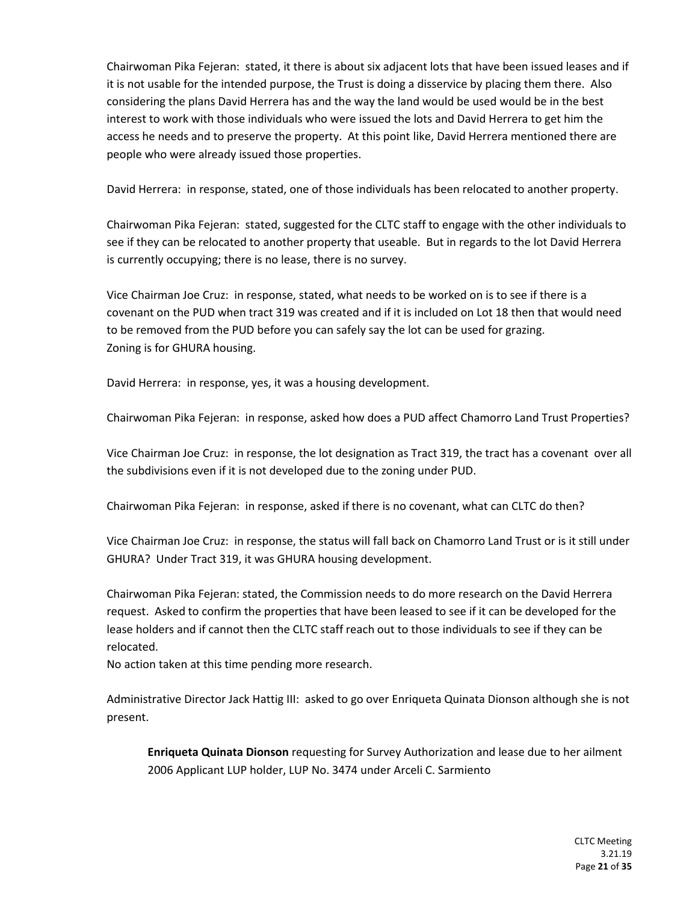Chairwoman Pika Fejeran: stated, it there is about six adjacent lots that have been issued leases and if it is not usable for the intended purpose, the Trust is doing a disservice by placing them there. Also considering the plans David Herrera has and the way the land would be used would be in the best interest to work with those individuals who were issued the lots and David Herrera to get him the access he needs and to preserve the property. At this point like, David Herrera mentioned there are people who were already issued those properties.

David Herrera: in response, stated, one of those individuals has been relocated to another property.

Chairwoman Pika Fejeran: stated, suggested for the CLTC staff to engage with the other individuals to see if they can be relocated to another property that useable. But in regards to the lot David Herrera is currently occupying; there is no lease, there is no survey.

Vice Chairman Joe Cruz: in response, stated, what needs to be worked on is to see if there is a covenant on the PUD when tract 319 was created and if it is included on Lot 18 then that would need to be removed from the PUD before you can safely say the lot can be used for grazing. Zoning is for GHURA housing.

David Herrera: in response, yes, it was a housing development.

Chairwoman Pika Fejeran: in response, asked how does a PUD affect Chamorro Land Trust Properties?

Vice Chairman Joe Cruz: in response, the lot designation as Tract 319, the tract has a covenant over all the subdivisions even if it is not developed due to the zoning under PUD.

Chairwoman Pika Fejeran: in response, asked if there is no covenant, what can CLTC do then?

Vice Chairman Joe Cruz: in response, the status will fall back on Chamorro Land Trust or is it still under GHURA? Under Tract 319, it was GHURA housing development.

Chairwoman Pika Fejeran: stated, the Commission needs to do more research on the David Herrera request. Asked to confirm the properties that have been leased to see if it can be developed for the lease holders and if cannot then the CLTC staff reach out to those individuals to see if they can be relocated.

No action taken at this time pending more research.

Administrative Director Jack Hattig III: asked to go over Enriqueta Quinata Dionson although she is not present.

**Enriqueta Quinata Dionson** requesting for Survey Authorization and lease due to her ailment 2006 Applicant LUP holder, LUP No. 3474 under Arceli C. Sarmiento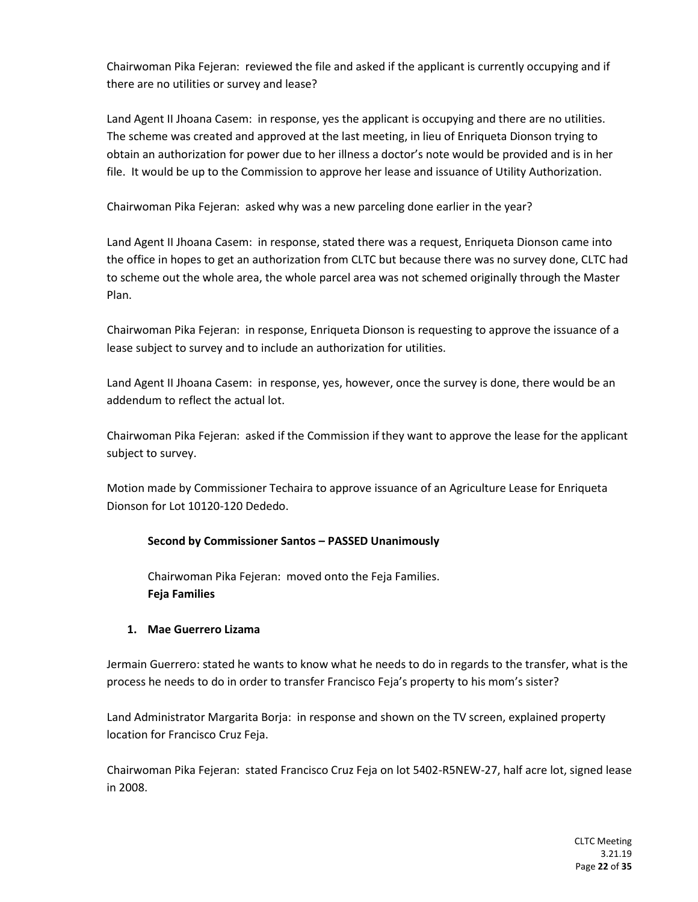Chairwoman Pika Fejeran: reviewed the file and asked if the applicant is currently occupying and if there are no utilities or survey and lease?

Land Agent II Jhoana Casem: in response, yes the applicant is occupying and there are no utilities. The scheme was created and approved at the last meeting, in lieu of Enriqueta Dionson trying to obtain an authorization for power due to her illness a doctor's note would be provided and is in her file. It would be up to the Commission to approve her lease and issuance of Utility Authorization.

Chairwoman Pika Fejeran: asked why was a new parceling done earlier in the year?

Land Agent II Jhoana Casem: in response, stated there was a request, Enriqueta Dionson came into the office in hopes to get an authorization from CLTC but because there was no survey done, CLTC had to scheme out the whole area, the whole parcel area was not schemed originally through the Master Plan.

Chairwoman Pika Fejeran: in response, Enriqueta Dionson is requesting to approve the issuance of a lease subject to survey and to include an authorization for utilities.

Land Agent II Jhoana Casem: in response, yes, however, once the survey is done, there would be an addendum to reflect the actual lot.

Chairwoman Pika Fejeran: asked if the Commission if they want to approve the lease for the applicant subject to survey.

Motion made by Commissioner Techaira to approve issuance of an Agriculture Lease for Enriqueta Dionson for Lot 10120-120 Dededo.

## **Second by Commissioner Santos – PASSED Unanimously**

Chairwoman Pika Fejeran: moved onto the Feja Families. **Feja Families**

#### **1. Mae Guerrero Lizama**

Jermain Guerrero: stated he wants to know what he needs to do in regards to the transfer, what is the process he needs to do in order to transfer Francisco Feja's property to his mom's sister?

Land Administrator Margarita Borja: in response and shown on the TV screen, explained property location for Francisco Cruz Feja.

Chairwoman Pika Fejeran: stated Francisco Cruz Feja on lot 5402-R5NEW-27, half acre lot, signed lease in 2008.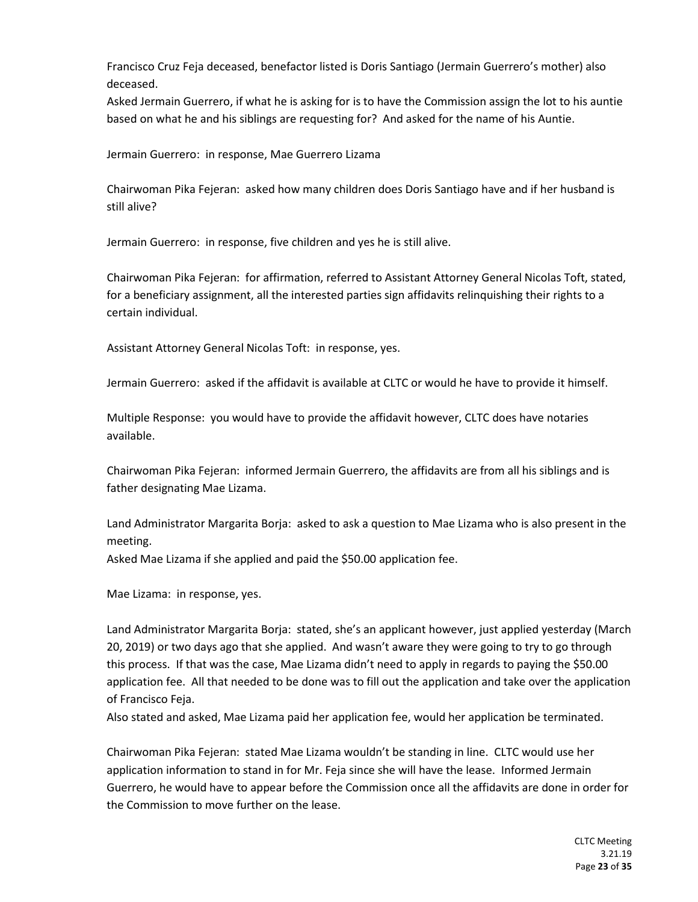Francisco Cruz Feja deceased, benefactor listed is Doris Santiago (Jermain Guerrero's mother) also deceased.

Asked Jermain Guerrero, if what he is asking for is to have the Commission assign the lot to his auntie based on what he and his siblings are requesting for? And asked for the name of his Auntie.

Jermain Guerrero: in response, Mae Guerrero Lizama

Chairwoman Pika Fejeran: asked how many children does Doris Santiago have and if her husband is still alive?

Jermain Guerrero: in response, five children and yes he is still alive.

Chairwoman Pika Fejeran: for affirmation, referred to Assistant Attorney General Nicolas Toft, stated, for a beneficiary assignment, all the interested parties sign affidavits relinquishing their rights to a certain individual.

Assistant Attorney General Nicolas Toft: in response, yes.

Jermain Guerrero: asked if the affidavit is available at CLTC or would he have to provide it himself.

Multiple Response: you would have to provide the affidavit however, CLTC does have notaries available.

Chairwoman Pika Fejeran: informed Jermain Guerrero, the affidavits are from all his siblings and is father designating Mae Lizama.

Land Administrator Margarita Borja: asked to ask a question to Mae Lizama who is also present in the meeting.

Asked Mae Lizama if she applied and paid the \$50.00 application fee.

Mae Lizama: in response, yes.

Land Administrator Margarita Borja: stated, she's an applicant however, just applied yesterday (March 20, 2019) or two days ago that she applied. And wasn't aware they were going to try to go through this process. If that was the case, Mae Lizama didn't need to apply in regards to paying the \$50.00 application fee. All that needed to be done was to fill out the application and take over the application of Francisco Feja.

Also stated and asked, Mae Lizama paid her application fee, would her application be terminated.

Chairwoman Pika Fejeran: stated Mae Lizama wouldn't be standing in line. CLTC would use her application information to stand in for Mr. Feja since she will have the lease. Informed Jermain Guerrero, he would have to appear before the Commission once all the affidavits are done in order for the Commission to move further on the lease.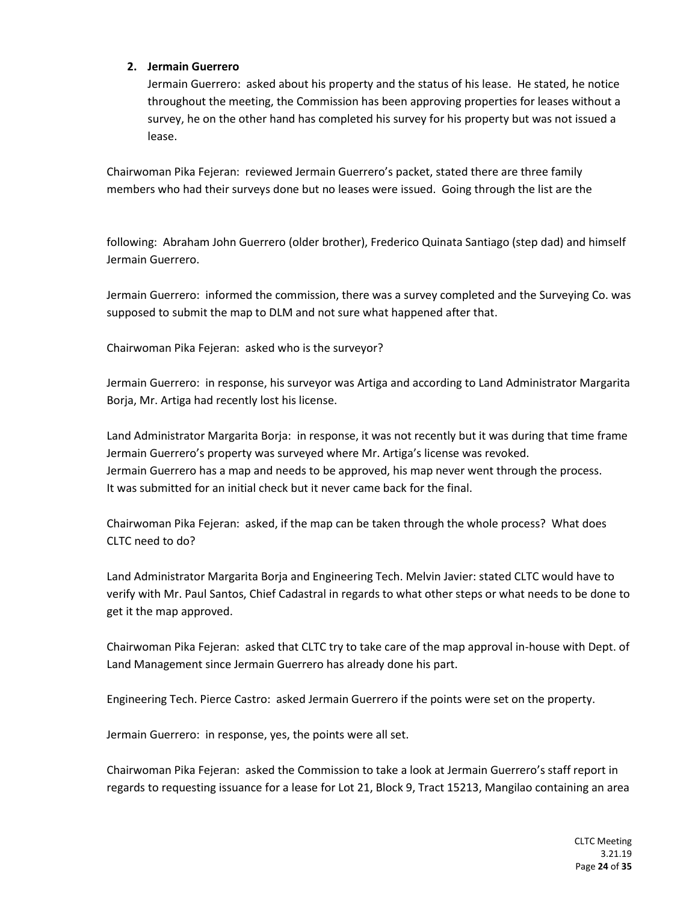#### **2. Jermain Guerrero**

Jermain Guerrero: asked about his property and the status of his lease. He stated, he notice throughout the meeting, the Commission has been approving properties for leases without a survey, he on the other hand has completed his survey for his property but was not issued a lease.

Chairwoman Pika Fejeran: reviewed Jermain Guerrero's packet, stated there are three family members who had their surveys done but no leases were issued. Going through the list are the

following: Abraham John Guerrero (older brother), Frederico Quinata Santiago (step dad) and himself Jermain Guerrero.

Jermain Guerrero: informed the commission, there was a survey completed and the Surveying Co. was supposed to submit the map to DLM and not sure what happened after that.

Chairwoman Pika Fejeran: asked who is the surveyor?

Jermain Guerrero: in response, his surveyor was Artiga and according to Land Administrator Margarita Borja, Mr. Artiga had recently lost his license.

Land Administrator Margarita Borja: in response, it was not recently but it was during that time frame Jermain Guerrero's property was surveyed where Mr. Artiga's license was revoked. Jermain Guerrero has a map and needs to be approved, his map never went through the process. It was submitted for an initial check but it never came back for the final.

Chairwoman Pika Fejeran: asked, if the map can be taken through the whole process? What does CLTC need to do?

Land Administrator Margarita Borja and Engineering Tech. Melvin Javier: stated CLTC would have to verify with Mr. Paul Santos, Chief Cadastral in regards to what other steps or what needs to be done to get it the map approved.

Chairwoman Pika Fejeran: asked that CLTC try to take care of the map approval in-house with Dept. of Land Management since Jermain Guerrero has already done his part.

Engineering Tech. Pierce Castro: asked Jermain Guerrero if the points were set on the property.

Jermain Guerrero: in response, yes, the points were all set.

Chairwoman Pika Fejeran: asked the Commission to take a look at Jermain Guerrero's staff report in regards to requesting issuance for a lease for Lot 21, Block 9, Tract 15213, Mangilao containing an area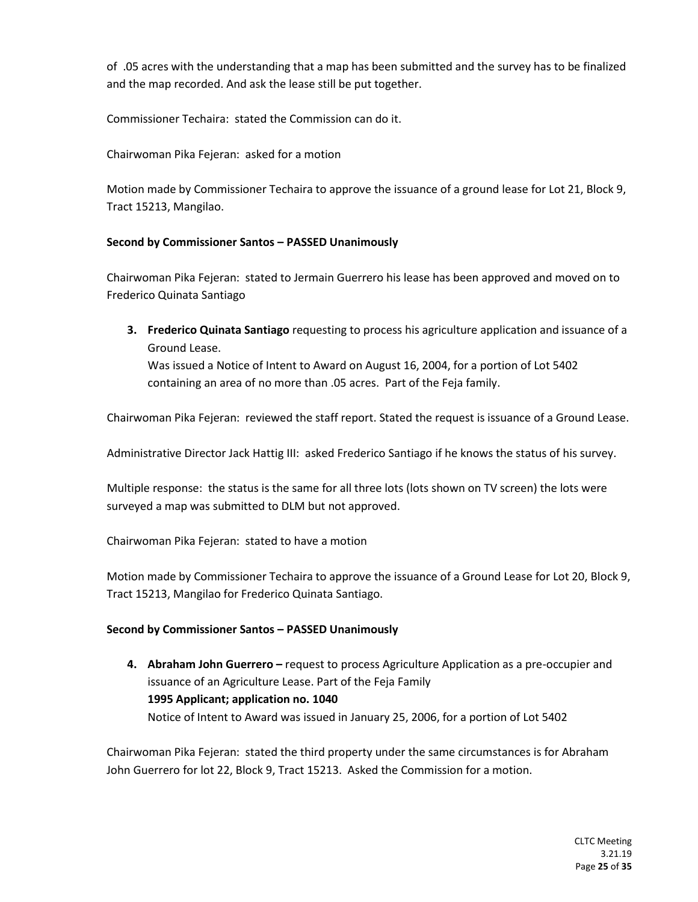of .05 acres with the understanding that a map has been submitted and the survey has to be finalized and the map recorded. And ask the lease still be put together.

Commissioner Techaira: stated the Commission can do it.

Chairwoman Pika Fejeran: asked for a motion

Motion made by Commissioner Techaira to approve the issuance of a ground lease for Lot 21, Block 9, Tract 15213, Mangilao.

## **Second by Commissioner Santos – PASSED Unanimously**

Chairwoman Pika Fejeran: stated to Jermain Guerrero his lease has been approved and moved on to Frederico Quinata Santiago

**3. Frederico Quinata Santiago** requesting to process his agriculture application and issuance of a Ground Lease. Was issued a Notice of Intent to Award on August 16, 2004, for a portion of Lot 5402 containing an area of no more than .05 acres. Part of the Feja family.

Chairwoman Pika Fejeran: reviewed the staff report. Stated the request is issuance of a Ground Lease.

Administrative Director Jack Hattig III: asked Frederico Santiago if he knows the status of his survey.

Multiple response: the status is the same for all three lots (lots shown on TV screen) the lots were surveyed a map was submitted to DLM but not approved.

Chairwoman Pika Fejeran: stated to have a motion

Motion made by Commissioner Techaira to approve the issuance of a Ground Lease for Lot 20, Block 9, Tract 15213, Mangilao for Frederico Quinata Santiago.

#### **Second by Commissioner Santos – PASSED Unanimously**

**4. Abraham John Guerrero –** request to process Agriculture Application as a pre-occupier and issuance of an Agriculture Lease. Part of the Feja Family **1995 Applicant; application no. 1040** Notice of Intent to Award was issued in January 25, 2006, for a portion of Lot 5402

Chairwoman Pika Fejeran: stated the third property under the same circumstances is for Abraham John Guerrero for lot 22, Block 9, Tract 15213. Asked the Commission for a motion.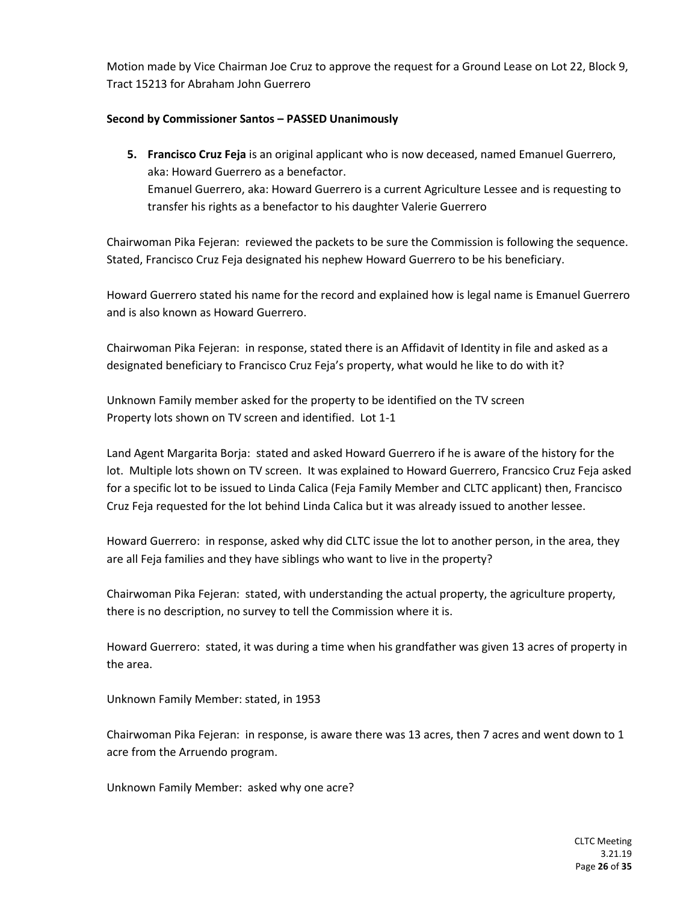Motion made by Vice Chairman Joe Cruz to approve the request for a Ground Lease on Lot 22, Block 9, Tract 15213 for Abraham John Guerrero

## **Second by Commissioner Santos – PASSED Unanimously**

**5. Francisco Cruz Feja** is an original applicant who is now deceased, named Emanuel Guerrero, aka: Howard Guerrero as a benefactor. Emanuel Guerrero, aka: Howard Guerrero is a current Agriculture Lessee and is requesting to transfer his rights as a benefactor to his daughter Valerie Guerrero

Chairwoman Pika Fejeran: reviewed the packets to be sure the Commission is following the sequence. Stated, Francisco Cruz Feja designated his nephew Howard Guerrero to be his beneficiary.

Howard Guerrero stated his name for the record and explained how is legal name is Emanuel Guerrero and is also known as Howard Guerrero.

Chairwoman Pika Fejeran: in response, stated there is an Affidavit of Identity in file and asked as a designated beneficiary to Francisco Cruz Feja's property, what would he like to do with it?

Unknown Family member asked for the property to be identified on the TV screen Property lots shown on TV screen and identified. Lot 1-1

Land Agent Margarita Borja: stated and asked Howard Guerrero if he is aware of the history for the lot. Multiple lots shown on TV screen. It was explained to Howard Guerrero, Francsico Cruz Feja asked for a specific lot to be issued to Linda Calica (Feja Family Member and CLTC applicant) then, Francisco Cruz Feja requested for the lot behind Linda Calica but it was already issued to another lessee.

Howard Guerrero: in response, asked why did CLTC issue the lot to another person, in the area, they are all Feja families and they have siblings who want to live in the property?

Chairwoman Pika Fejeran: stated, with understanding the actual property, the agriculture property, there is no description, no survey to tell the Commission where it is.

Howard Guerrero: stated, it was during a time when his grandfather was given 13 acres of property in the area.

Unknown Family Member: stated, in 1953

Chairwoman Pika Fejeran: in response, is aware there was 13 acres, then 7 acres and went down to 1 acre from the Arruendo program.

Unknown Family Member: asked why one acre?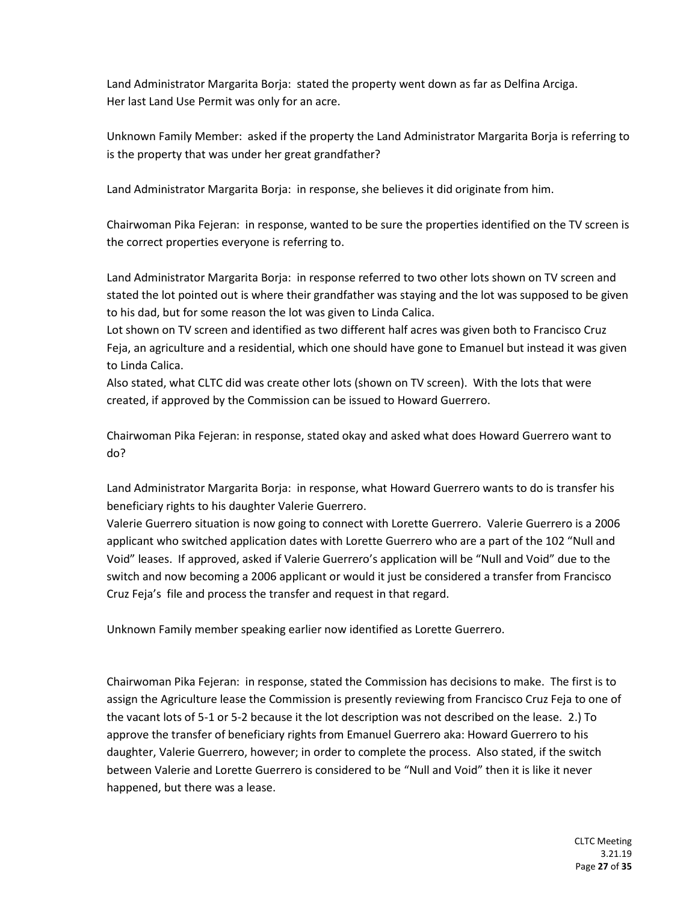Land Administrator Margarita Borja: stated the property went down as far as Delfina Arciga. Her last Land Use Permit was only for an acre.

Unknown Family Member: asked if the property the Land Administrator Margarita Borja is referring to is the property that was under her great grandfather?

Land Administrator Margarita Borja: in response, she believes it did originate from him.

Chairwoman Pika Fejeran: in response, wanted to be sure the properties identified on the TV screen is the correct properties everyone is referring to.

Land Administrator Margarita Borja: in response referred to two other lots shown on TV screen and stated the lot pointed out is where their grandfather was staying and the lot was supposed to be given to his dad, but for some reason the lot was given to Linda Calica.

Lot shown on TV screen and identified as two different half acres was given both to Francisco Cruz Feja, an agriculture and a residential, which one should have gone to Emanuel but instead it was given to Linda Calica.

Also stated, what CLTC did was create other lots (shown on TV screen). With the lots that were created, if approved by the Commission can be issued to Howard Guerrero.

Chairwoman Pika Fejeran: in response, stated okay and asked what does Howard Guerrero want to do?

Land Administrator Margarita Borja: in response, what Howard Guerrero wants to do is transfer his beneficiary rights to his daughter Valerie Guerrero.

Valerie Guerrero situation is now going to connect with Lorette Guerrero. Valerie Guerrero is a 2006 applicant who switched application dates with Lorette Guerrero who are a part of the 102 "Null and Void" leases. If approved, asked if Valerie Guerrero's application will be "Null and Void" due to the switch and now becoming a 2006 applicant or would it just be considered a transfer from Francisco Cruz Feja's file and process the transfer and request in that regard.

Unknown Family member speaking earlier now identified as Lorette Guerrero.

Chairwoman Pika Fejeran: in response, stated the Commission has decisions to make. The first is to assign the Agriculture lease the Commission is presently reviewing from Francisco Cruz Feja to one of the vacant lots of 5-1 or 5-2 because it the lot description was not described on the lease. 2.) To approve the transfer of beneficiary rights from Emanuel Guerrero aka: Howard Guerrero to his daughter, Valerie Guerrero, however; in order to complete the process. Also stated, if the switch between Valerie and Lorette Guerrero is considered to be "Null and Void" then it is like it never happened, but there was a lease.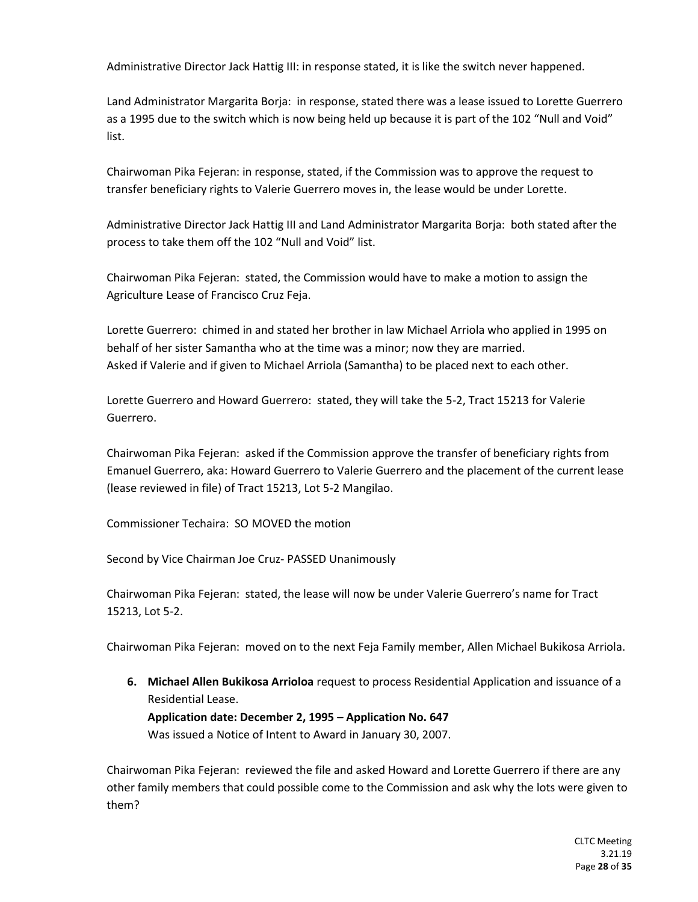Administrative Director Jack Hattig III: in response stated, it is like the switch never happened.

Land Administrator Margarita Borja: in response, stated there was a lease issued to Lorette Guerrero as a 1995 due to the switch which is now being held up because it is part of the 102 "Null and Void" list.

Chairwoman Pika Fejeran: in response, stated, if the Commission was to approve the request to transfer beneficiary rights to Valerie Guerrero moves in, the lease would be under Lorette.

Administrative Director Jack Hattig III and Land Administrator Margarita Borja: both stated after the process to take them off the 102 "Null and Void" list.

Chairwoman Pika Fejeran: stated, the Commission would have to make a motion to assign the Agriculture Lease of Francisco Cruz Feja.

Lorette Guerrero: chimed in and stated her brother in law Michael Arriola who applied in 1995 on behalf of her sister Samantha who at the time was a minor; now they are married. Asked if Valerie and if given to Michael Arriola (Samantha) to be placed next to each other.

Lorette Guerrero and Howard Guerrero: stated, they will take the 5-2, Tract 15213 for Valerie Guerrero.

Chairwoman Pika Fejeran: asked if the Commission approve the transfer of beneficiary rights from Emanuel Guerrero, aka: Howard Guerrero to Valerie Guerrero and the placement of the current lease (lease reviewed in file) of Tract 15213, Lot 5-2 Mangilao.

Commissioner Techaira: SO MOVED the motion

Second by Vice Chairman Joe Cruz- PASSED Unanimously

Chairwoman Pika Fejeran: stated, the lease will now be under Valerie Guerrero's name for Tract 15213, Lot 5-2.

Chairwoman Pika Fejeran: moved on to the next Feja Family member, Allen Michael Bukikosa Arriola.

**6. Michael Allen Bukikosa Arrioloa** request to process Residential Application and issuance of a Residential Lease. **Application date: December 2, 1995 – Application No. 647** Was issued a Notice of Intent to Award in January 30, 2007.

Chairwoman Pika Fejeran: reviewed the file and asked Howard and Lorette Guerrero if there are any other family members that could possible come to the Commission and ask why the lots were given to them?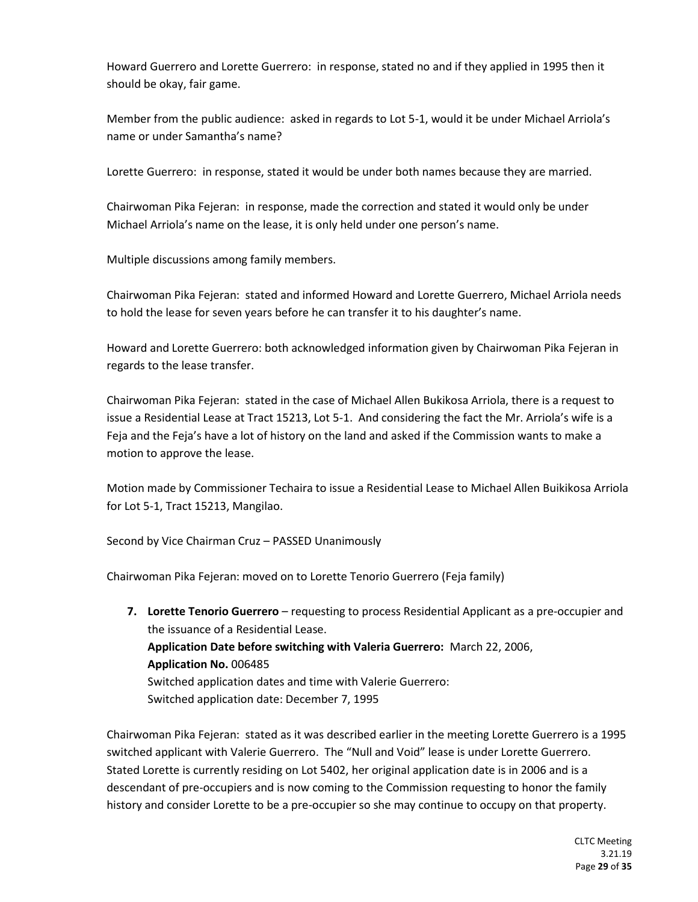Howard Guerrero and Lorette Guerrero: in response, stated no and if they applied in 1995 then it should be okay, fair game.

Member from the public audience: asked in regards to Lot 5-1, would it be under Michael Arriola's name or under Samantha's name?

Lorette Guerrero: in response, stated it would be under both names because they are married.

Chairwoman Pika Fejeran: in response, made the correction and stated it would only be under Michael Arriola's name on the lease, it is only held under one person's name.

Multiple discussions among family members.

Chairwoman Pika Fejeran: stated and informed Howard and Lorette Guerrero, Michael Arriola needs to hold the lease for seven years before he can transfer it to his daughter's name.

Howard and Lorette Guerrero: both acknowledged information given by Chairwoman Pika Fejeran in regards to the lease transfer.

Chairwoman Pika Fejeran: stated in the case of Michael Allen Bukikosa Arriola, there is a request to issue a Residential Lease at Tract 15213, Lot 5-1. And considering the fact the Mr. Arriola's wife is a Feja and the Feja's have a lot of history on the land and asked if the Commission wants to make a motion to approve the lease.

Motion made by Commissioner Techaira to issue a Residential Lease to Michael Allen Buikikosa Arriola for Lot 5-1, Tract 15213, Mangilao.

Second by Vice Chairman Cruz – PASSED Unanimously

Chairwoman Pika Fejeran: moved on to Lorette Tenorio Guerrero (Feja family)

**7. Lorette Tenorio Guerrero** – requesting to process Residential Applicant as a pre-occupier and the issuance of a Residential Lease. **Application Date before switching with Valeria Guerrero:** March 22, 2006, **Application No.** 006485 Switched application dates and time with Valerie Guerrero: Switched application date: December 7, 1995

Chairwoman Pika Fejeran: stated as it was described earlier in the meeting Lorette Guerrero is a 1995 switched applicant with Valerie Guerrero. The "Null and Void" lease is under Lorette Guerrero. Stated Lorette is currently residing on Lot 5402, her original application date is in 2006 and is a descendant of pre-occupiers and is now coming to the Commission requesting to honor the family history and consider Lorette to be a pre-occupier so she may continue to occupy on that property.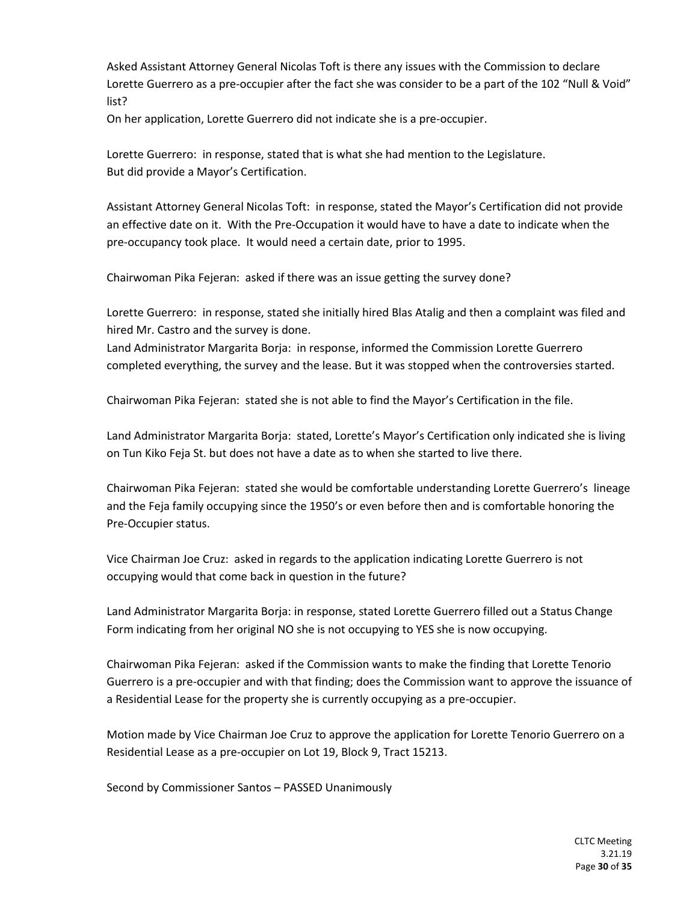Asked Assistant Attorney General Nicolas Toft is there any issues with the Commission to declare Lorette Guerrero as a pre-occupier after the fact she was consider to be a part of the 102 "Null & Void" list?

On her application, Lorette Guerrero did not indicate she is a pre-occupier.

Lorette Guerrero: in response, stated that is what she had mention to the Legislature. But did provide a Mayor's Certification.

Assistant Attorney General Nicolas Toft: in response, stated the Mayor's Certification did not provide an effective date on it. With the Pre-Occupation it would have to have a date to indicate when the pre-occupancy took place. It would need a certain date, prior to 1995.

Chairwoman Pika Fejeran: asked if there was an issue getting the survey done?

Lorette Guerrero: in response, stated she initially hired Blas Atalig and then a complaint was filed and hired Mr. Castro and the survey is done.

Land Administrator Margarita Borja: in response, informed the Commission Lorette Guerrero completed everything, the survey and the lease. But it was stopped when the controversies started.

Chairwoman Pika Fejeran: stated she is not able to find the Mayor's Certification in the file.

Land Administrator Margarita Borja: stated, Lorette's Mayor's Certification only indicated she is living on Tun Kiko Feja St. but does not have a date as to when she started to live there.

Chairwoman Pika Fejeran: stated she would be comfortable understanding Lorette Guerrero's lineage and the Feja family occupying since the 1950's or even before then and is comfortable honoring the Pre-Occupier status.

Vice Chairman Joe Cruz: asked in regards to the application indicating Lorette Guerrero is not occupying would that come back in question in the future?

Land Administrator Margarita Borja: in response, stated Lorette Guerrero filled out a Status Change Form indicating from her original NO she is not occupying to YES she is now occupying.

Chairwoman Pika Fejeran: asked if the Commission wants to make the finding that Lorette Tenorio Guerrero is a pre-occupier and with that finding; does the Commission want to approve the issuance of a Residential Lease for the property she is currently occupying as a pre-occupier.

Motion made by Vice Chairman Joe Cruz to approve the application for Lorette Tenorio Guerrero on a Residential Lease as a pre-occupier on Lot 19, Block 9, Tract 15213.

Second by Commissioner Santos – PASSED Unanimously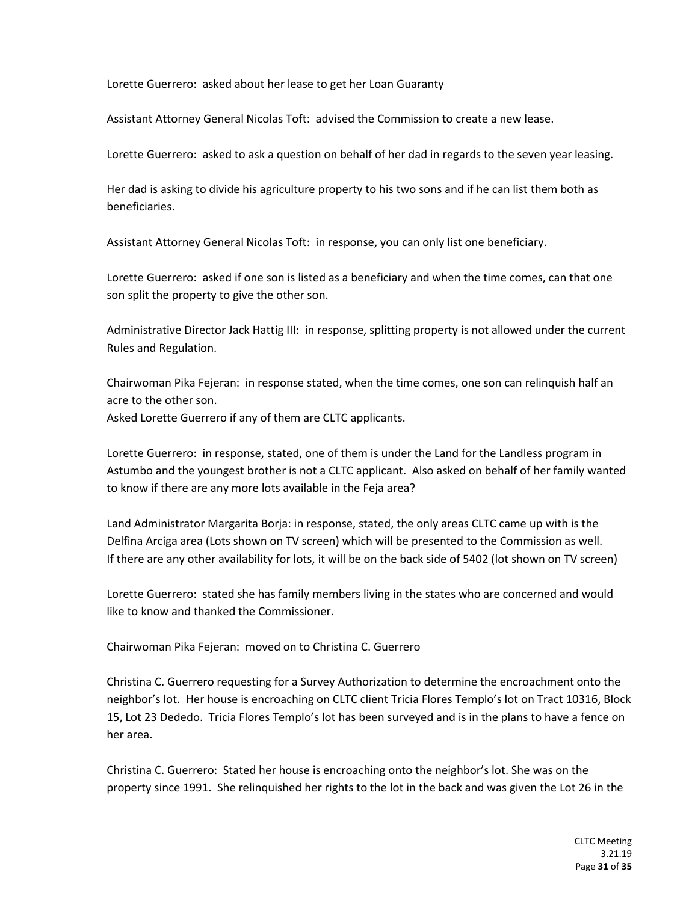Lorette Guerrero: asked about her lease to get her Loan Guaranty

Assistant Attorney General Nicolas Toft: advised the Commission to create a new lease.

Lorette Guerrero: asked to ask a question on behalf of her dad in regards to the seven year leasing.

Her dad is asking to divide his agriculture property to his two sons and if he can list them both as beneficiaries.

Assistant Attorney General Nicolas Toft: in response, you can only list one beneficiary.

Lorette Guerrero: asked if one son is listed as a beneficiary and when the time comes, can that one son split the property to give the other son.

Administrative Director Jack Hattig III: in response, splitting property is not allowed under the current Rules and Regulation.

Chairwoman Pika Fejeran: in response stated, when the time comes, one son can relinquish half an acre to the other son. Asked Lorette Guerrero if any of them are CLTC applicants.

Lorette Guerrero: in response, stated, one of them is under the Land for the Landless program in Astumbo and the youngest brother is not a CLTC applicant. Also asked on behalf of her family wanted to know if there are any more lots available in the Feja area?

Land Administrator Margarita Borja: in response, stated, the only areas CLTC came up with is the Delfina Arciga area (Lots shown on TV screen) which will be presented to the Commission as well. If there are any other availability for lots, it will be on the back side of 5402 (lot shown on TV screen)

Lorette Guerrero: stated she has family members living in the states who are concerned and would like to know and thanked the Commissioner.

Chairwoman Pika Fejeran: moved on to Christina C. Guerrero

Christina C. Guerrero requesting for a Survey Authorization to determine the encroachment onto the neighbor's lot. Her house is encroaching on CLTC client Tricia Flores Templo's lot on Tract 10316, Block 15, Lot 23 Dededo. Tricia Flores Templo's lot has been surveyed and is in the plans to have a fence on her area.

Christina C. Guerrero: Stated her house is encroaching onto the neighbor's lot. She was on the property since 1991. She relinquished her rights to the lot in the back and was given the Lot 26 in the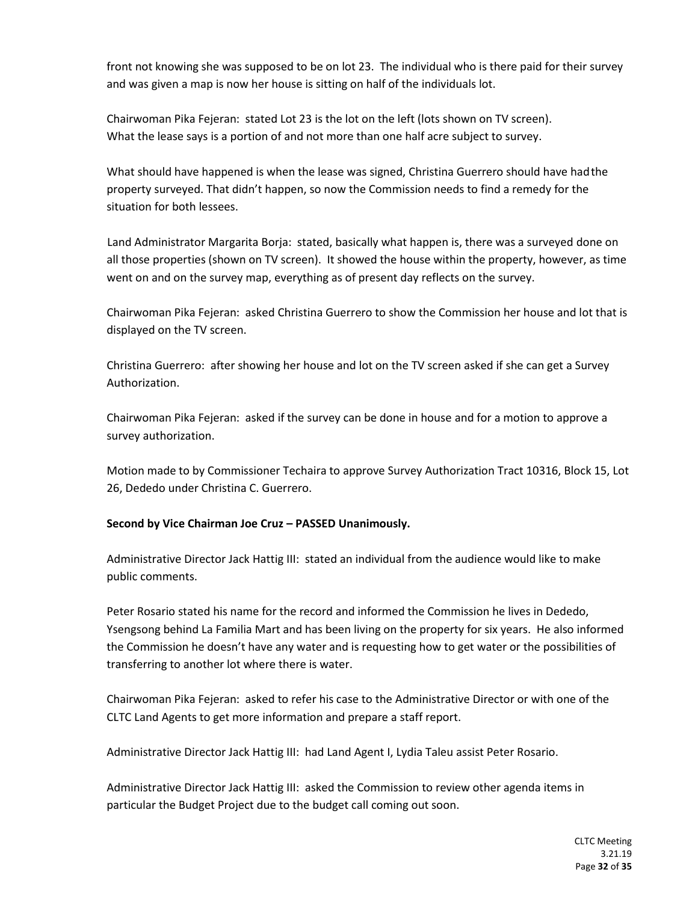front not knowing she was supposed to be on lot 23. The individual who is there paid for their survey and was given a map is now her house is sitting on half of the individuals lot.

Chairwoman Pika Fejeran: stated Lot 23 is the lot on the left (lots shown on TV screen). What the lease says is a portion of and not more than one half acre subject to survey.

What should have happened is when the lease was signed, Christina Guerrero should have hadthe property surveyed. That didn't happen, so now the Commission needs to find a remedy for the situation for both lessees.

Land Administrator Margarita Borja: stated, basically what happen is, there was a surveyed done on all those properties (shown on TV screen). It showed the house within the property, however, as time went on and on the survey map, everything as of present day reflects on the survey.

Chairwoman Pika Fejeran: asked Christina Guerrero to show the Commission her house and lot that is displayed on the TV screen.

Christina Guerrero: after showing her house and lot on the TV screen asked if she can get a Survey Authorization.

Chairwoman Pika Fejeran: asked if the survey can be done in house and for a motion to approve a survey authorization.

Motion made to by Commissioner Techaira to approve Survey Authorization Tract 10316, Block 15, Lot 26, Dededo under Christina C. Guerrero.

## **Second by Vice Chairman Joe Cruz – PASSED Unanimously.**

Administrative Director Jack Hattig III: stated an individual from the audience would like to make public comments.

Peter Rosario stated his name for the record and informed the Commission he lives in Dededo, Ysengsong behind La Familia Mart and has been living on the property for six years. He also informed the Commission he doesn't have any water and is requesting how to get water or the possibilities of transferring to another lot where there is water.

Chairwoman Pika Fejeran: asked to refer his case to the Administrative Director or with one of the CLTC Land Agents to get more information and prepare a staff report.

Administrative Director Jack Hattig III: had Land Agent I, Lydia Taleu assist Peter Rosario.

Administrative Director Jack Hattig III: asked the Commission to review other agenda items in particular the Budget Project due to the budget call coming out soon.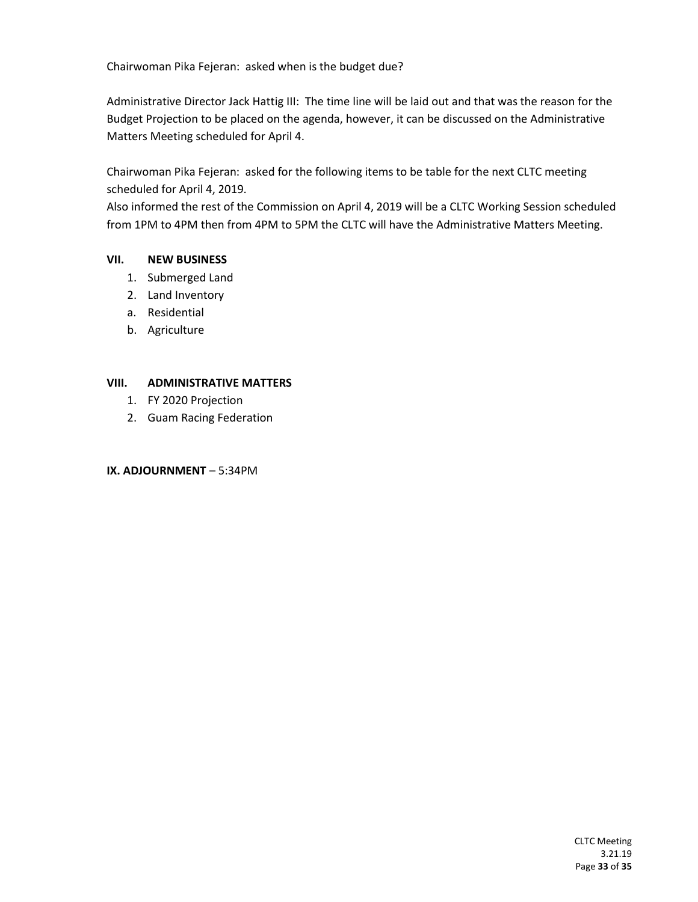Chairwoman Pika Fejeran: asked when is the budget due?

Administrative Director Jack Hattig III: The time line will be laid out and that was the reason for the Budget Projection to be placed on the agenda, however, it can be discussed on the Administrative Matters Meeting scheduled for April 4.

Chairwoman Pika Fejeran: asked for the following items to be table for the next CLTC meeting scheduled for April 4, 2019.

Also informed the rest of the Commission on April 4, 2019 will be a CLTC Working Session scheduled from 1PM to 4PM then from 4PM to 5PM the CLTC will have the Administrative Matters Meeting.

## **VII. NEW BUSINESS**

- 1. Submerged Land
- 2. Land Inventory
- a. Residential
- b. Agriculture

## **VIII. ADMINISTRATIVE MATTERS**

- 1. FY 2020 Projection
- 2. Guam Racing Federation

#### **IX. ADJOURNMENT** – 5:34PM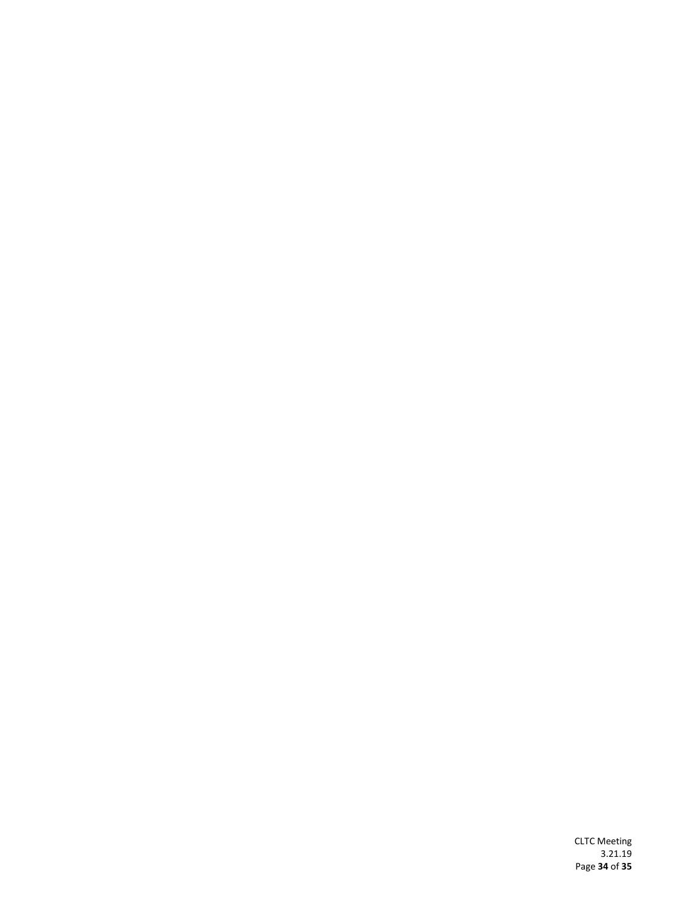CLTC Meeting 3.21.19 Page **34** of **35**